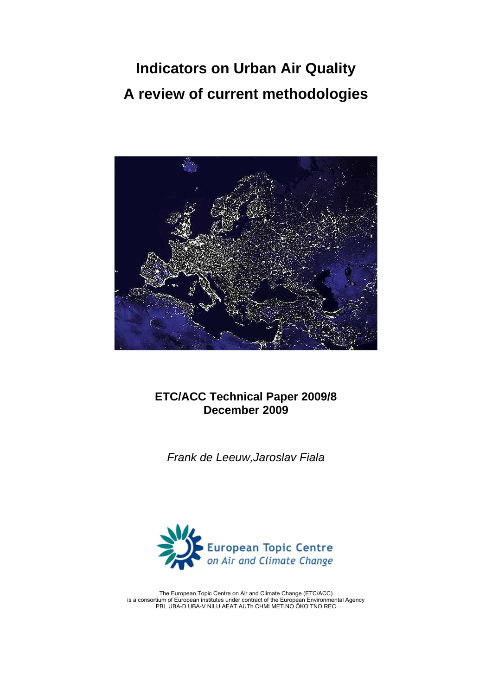# **Indicators on Urban Air Quality A review of current methodologies**



# **ETC/ACC Technical Paper 2009/8 December 2009**

*Frank de Leeuw,Jaroslav Fiala* 



The European Topic Centre on Air and Climate Change (ETC/ACC) is a consortium of European institutes under contract of the European Environmental Agency PBL UBA-D UBA-V NILU AEAT AUTh CHMI MET.NO ÖKO TNO REC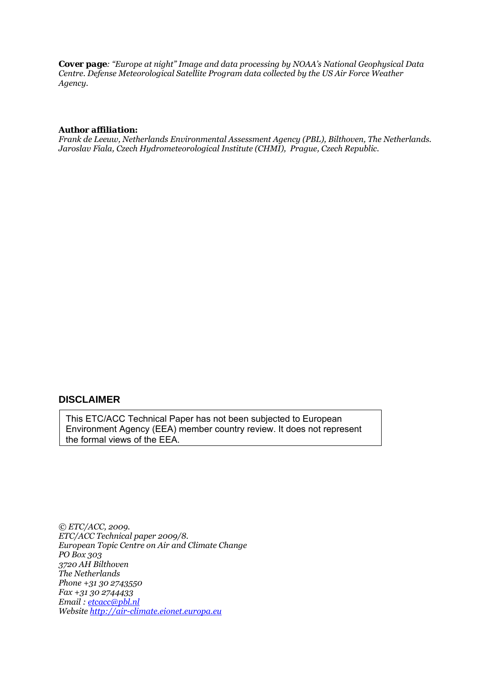*Cover page: "Europe at night" Image and data processing by NOAA's National Geophysical Data Centre. Defense Meteorological Satellite Program data collected by the US Air Force Weather Agency.* 

#### *Author affiliation:*

*Frank de Leeuw, Netherlands Environmental Assessment Agency (PBL), Bilthoven, The Netherlands. Jaroslav Fiala, Czech Hydrometeorological Institute (CHMI), Prague, Czech Republic.*

### **DISCLAIMER**

This ETC/ACC Technical Paper has not been subjected to European Environment Agency (EEA) member country review. It does not represent the formal views of the EEA.

*© ETC/ACC, 2009. ETC/ACC Technical paper 2009/8. European Topic Centre on Air and Climate Change PO Box 303 3720 AH Bilthoven The Netherlands Phone +31 30 2743550 Fax +31 30 2744433 Email : [etcacc@pbl.nl](mailto:etcacc@pbl.nl)  Website [http://air-climate.eionet.europa.eu](http://air-climate.eionet.europa.eu/)*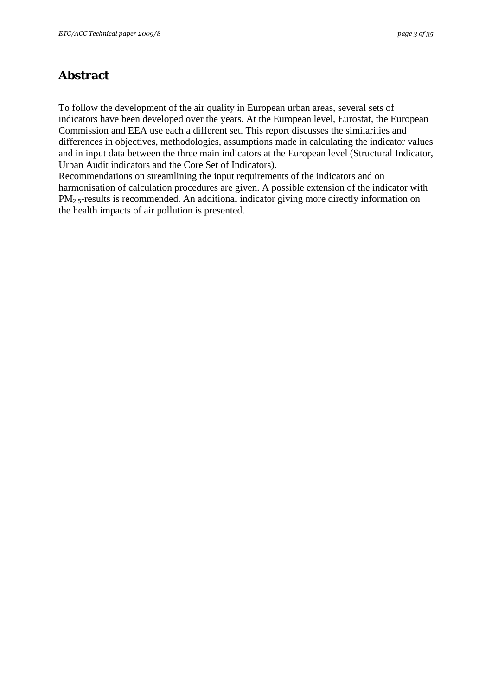# <span id="page-2-0"></span>**Abstract**

To follow the development of the air quality in European urban areas, several sets of indicators have been developed over the years. At the European level, Eurostat, the European Commission and EEA use each a different set. This report discusses the similarities and differences in objectives, methodologies, assumptions made in calculating the indicator values and in input data between the three main indicators at the European level (Structural Indicator, Urban Audit indicators and the Core Set of Indicators).

Recommendations on streamlining the input requirements of the indicators and on harmonisation of calculation procedures are given. A possible extension of the indicator with PM<sub>2.5</sub>-results is recommended. An additional indicator giving more directly information on the health impacts of air pollution is presented.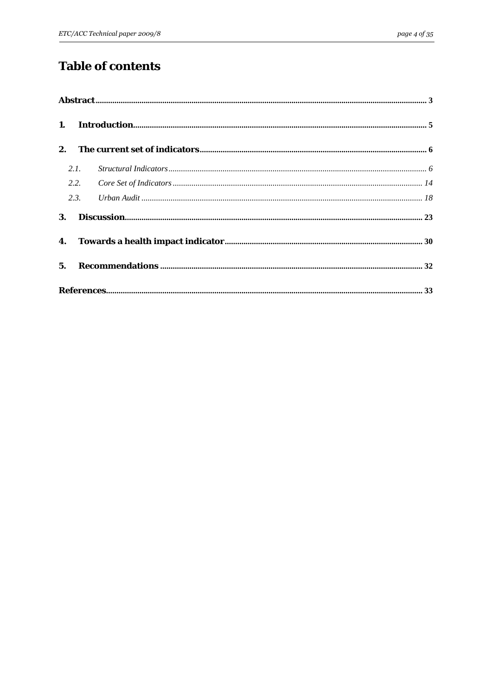# **Table of contents**

| 2. |      |  |  |  |  |  |  |
|----|------|--|--|--|--|--|--|
|    | 2.1. |  |  |  |  |  |  |
|    | 2.2. |  |  |  |  |  |  |
|    | 2.3. |  |  |  |  |  |  |
| 3. |      |  |  |  |  |  |  |
|    |      |  |  |  |  |  |  |
|    |      |  |  |  |  |  |  |
|    |      |  |  |  |  |  |  |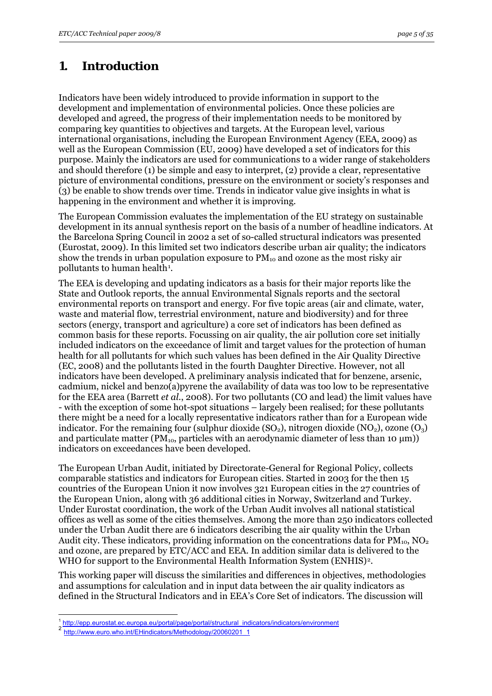# <span id="page-4-0"></span>**1. Introduction**

Indicators have been widely introduced to provide information in support to the development and implementation of environmental policies. Once these policies are developed and agreed, the progress of their implementation needs to be monitored by comparing key quantities to objectives and targets. At the European level, various international organisations, including the European Environment Agency (EEA, 2009) as well as the European Commission (EU, 2009) have developed a set of indicators for this purpose. Mainly the indicators are used for communications to a wider range of stakeholders and should therefore (1) be simple and easy to interpret, (2) provide a clear, representative picture of environmental conditions, pressure on the environment or society's responses and (3) be enable to show trends over time. Trends in indicator value give insights in what is happening in the environment and whether it is improving.

The European Commission evaluates the implementation of the EU strategy on sustainable development in its annual synthesis report on the basis of a number of headline indicators. At the Barcelona Spring Council in 2002 a set of so-called structural indicators was presented (Eurostat, 2009). In this limited set two indicators describe urban air quality; the indicators show the trends in urban population exposure to  $PM_{10}$  and ozone as the most risky air pollutants to human health<sup>[1](#page-4-1)</sup>.

The EEA is developing and updating indicators as a basis for their major reports like the State and Outlook reports, the annual Environmental Signals reports and the sectoral environmental reports on transport and energy. For five topic areas (air and climate, water, waste and material flow, terrestrial environment, nature and biodiversity) and for three sectors (energy, transport and agriculture) a core set of indicators has been defined as common basis for these reports. Focussing on air quality, the air pollution core set initially included indicators on the exceedance of limit and target values for the protection of human health for all pollutants for which such values has been defined in the Air Quality Directive (EC, 2008) and the pollutants listed in the fourth Daughter Directive. However, not all indicators have been developed. A preliminary analysis indicated that for benzene, arsenic, cadmium, nickel and benzo(a)pyrene the availability of data was too low to be representative for the EEA area (Barrett *et al*., 2008). For two pollutants (CO and lead) the limit values have - with the exception of some hot-spot situations – largely been realised; for these pollutants there might be a need for a locally representative indicators rather than for a European wide indicator. For the remaining four (sulphur dioxide  $(SO_2)$ , nitrogen dioxide  $(NO_2)$ , ozone  $(O_3)$ and particulate matter ( $PM_{10}$ , particles with an aerodynamic diameter of less than 10  $\mu$ m)) indicators on exceedances have been developed.

The European Urban Audit, initiated by Directorate-General for Regional Policy, collects comparable statistics and indicators for European cities. Started in 2003 for the then 15 countries of the European Union it now involves 321 European cities in the 27 countries of the European Union, along with 36 additional cities in Norway, Switzerland and Turkey. Under Eurostat coordination, the work of the Urban Audit involves all national statistical offices as well as some of the cities themselves. Among the more than 250 indicators collected under the Urban Audit there are 6 indicators describing the air quality within the Urban Audit city. These indicators, providing information on the concentrations data for  $PM_{10}$ ,  $NO<sub>2</sub>$ and ozone, are prepared by ETC/ACC and EEA. In addition similar data is delivered to the WHO for support to the Environmental Health Information System (ENHIS)<sup>2</sup>.

This working paper will discuss the similarities and differences in objectives, methodologies and assumptions for calculation and in input data between the air quality indicators as defined in the Structural Indicators and in EEA's Core Set of indicators. The discussion will

<sup>1</sup> 1 http://epp.eurostat.ec.europa.eu/portal/page/portal/structural\_indicators/indicators/environment 2<br>2 http://www.euro.who.int/EHindicators/Methodology/20060201\_1

<span id="page-4-2"></span><span id="page-4-1"></span>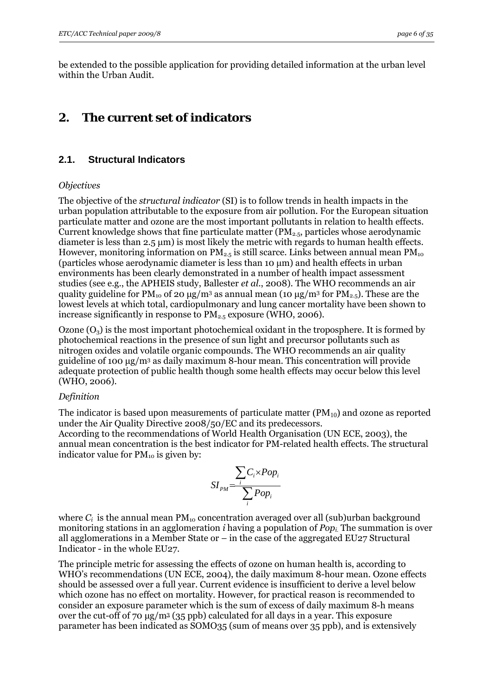<span id="page-5-0"></span>be extended to the possible application for providing detailed information at the urban level within the Urban Audit.

### **2. The current set of indicators**

#### **2.1. Structural Indicators**

#### *Objectives*

The objective of the *structural indicator* (SI) is to follow trends in health impacts in the urban population attributable to the exposure from air pollution. For the European situation particulate matter and ozone are the most important pollutants in relation to health effects. Current knowledge shows that fine particulate matter ( $PM_{2.5}$ , particles whose aerodynamic diameter is less than 2.5 μm) is most likely the metric with regards to human health effects. However, monitoring information on  $PM_{2.5}$  is still scarce. Links between annual mean  $PM_{10}$ (particles whose aerodynamic diameter is less than 10 μm) and health effects in urban environments has been clearly demonstrated in a number of health impact assessment studies (see e.g., the APHEIS study, Ballester *et al*., 2008). The WHO recommends an air quality guideline for  $PM_{10}$  of 20 μg/m<sup>3</sup> as annual mean (10 μg/m<sup>3</sup> for  $PM_{2.5}$ ). These are the lowest levels at which total, cardiopulmonary and lung cancer mortality have been shown to increase significantly in response to  $PM_{2.5}$  exposure (WHO, 2006).

Ozone  $(O_3)$  is the most important photochemical oxidant in the troposphere. It is formed by photochemical reactions in the presence of sun light and precursor pollutants such as nitrogen oxides and volatile organic compounds. The WHO recommends an air quality guideline of 100 μg/m3 as daily maximum 8-hour mean. This concentration will provide adequate protection of public health though some health effects may occur below this level (WHO, 2006).

#### *Definition*

The indicator is based upon measurements of particulate matter  $(PM_{10})$  and ozone as reported under the Air Quality Directive 2008/50/EC and its predecessors. According to the recommendations of World Health Organisation (UN ECE, 2003), the annual mean concentration is the best indicator for PM-related health effects. The structural indicator value for  $PM_{10}$  is given by:

$$
SI_{PM} = \frac{\sum_{i} C_{i} \times Pop_{i}}{\sum_{i} Pop_{i}}
$$

where  $C_i$  is the annual mean  $PM_{10}$  concentration averaged over all (sub)urban background monitoring stations in an agglomeration *i* having a population of *Popi.* The summation is over all agglomerations in a Member State or – in the case of the aggregated EU27 Structural Indicator - in the whole EU27.

The principle metric for assessing the effects of ozone on human health is, according to WHO's recommendations (UN ECE, 2004), the daily maximum 8-hour mean. Ozone effects should be assessed over a full year. Current evidence is insufficient to derive a level below which ozone has no effect on mortality. However, for practical reason is recommended to consider an exposure parameter which is the sum of excess of daily maximum 8-h means over the cut-off of 70 μg/m3 (35 ppb) calculated for all days in a year. This exposure parameter has been indicated as SOMO35 (sum of means over 35 ppb), and is extensively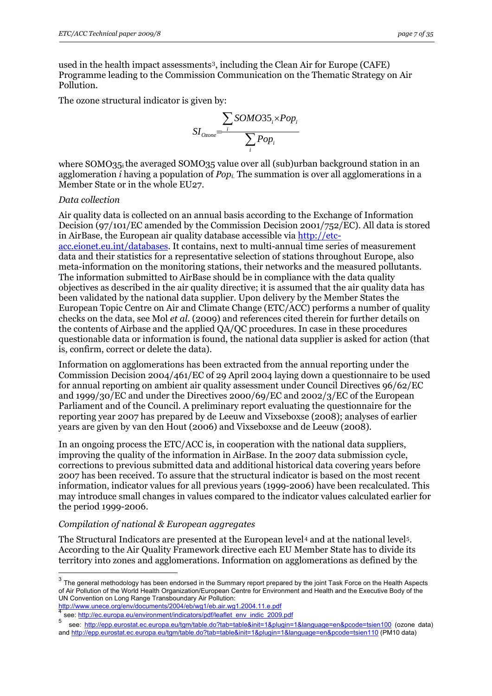<span id="page-6-0"></span>used in the health impact assessments<sup>3</sup>, including the Clean Air for Europe (CAFE) Programme leading to the Commission Communication on the Thematic Strategy on Air Pollution.

The ozone structural indicator is given by:

$$
SI_{Ozone} = \frac{\sum_{i} SOMO35_{i} \times Pop_{i}}{\sum_{i} Pop_{i}}
$$

where SOMO35i the averaged SOMO35 value over all (sub)urban background station in an agglomeration *i* having a population of *Popi.* The summation is over all agglomerations in a Member State or in the whole EU27.

#### *Data collection*

1

Air quality data is collected on an annual basis according to the Exchange of Information Decision (97/101/EC amended by the Commission Decision 2001/752/EC). All data is stored in AirBase, the European air quality database accessible via [http://etc-](http://etc-acc.eionet.eu.int/databases)

[acc.eionet.eu.int/databases](http://etc-acc.eionet.eu.int/databases). It contains, next to multi-annual time series of measurement data and their statistics for a representative selection of stations throughout Europe, also meta-information on the monitoring stations, their networks and the measured pollutants. The information submitted to AirBase should be in compliance with the data quality objectives as described in the air quality directive; it is assumed that the air quality data has been validated by the national data supplier. Upon delivery by the Member States the European Topic Centre on Air and Climate Change (ETC/ACC) performs a number of quality checks on the data, see Mol *et al*. (2009) and references cited therein for further details on the contents of Airbase and the applied QA/QC procedures. In case in these procedures questionable data or information is found, the national data supplier is asked for action (that is, confirm, correct or delete the data).

Information on agglomerations has been extracted from the annual reporting under the Commission Decision 2004/461/EC of 29 April 2004 laying down a questionnaire to be used for annual reporting on ambient air quality assessment under Council Directives 96/62/EC and 1999/30/EC and under the Directives 2000/69/EC and 2002/3/EC of the European Parliament and of the Council. A preliminary report evaluating the questionnaire for the reporting year 2007 has prepared by de Leeuw and Vixseboxse (2008); analyses of earlier years are given by van den Hout (2006) and Vixseboxse and de Leeuw (2008).

In an ongoing process the ETC/ACC is, in cooperation with the national data suppliers, improving the quality of the information in AirBase. In the 2007 data submission cycle, corrections to previous submitted data and additional historical data covering years before 2007 has been received. To assure that the structural indicator is based on the most recent information, indicator values for all previous years (1999-2006) have been recalculated. This may introduce small changes in values compared to the indicator values calculated earlier for the period 1999-2006.

#### *Compilation of national & European aggregates*

The Structural Indicators are presented at the European level<sup>[4](#page-6-0)</sup> and at the national level<sup>5</sup>. According to the Air Quality Framework directive each EU Member State has to divide its territory into zones and agglomerations. Information on agglomerations as defined by the

 $h_{\text{sec}}$  http://ec.europa.eu/environment/indicators/pdf/leaflet\_env\_indic\_2009.pdf 5 see: http://eng.europa.eu/environment/indicators/pdf/leaflet\_env\_indic\_2009.pdf

 $3$  The general methodology has been endorsed in the Summary report prepared by the joint Task Force on the Health Aspects of Air Pollution of the World Health Organization/European Centre for Environment and Health and the Executive Body of the UN Convention on Long Range Transboundary Air Pollution:<br>http://www.unece.org/env/documents/2004/eb/wg1/eb.air.wg1.2004.11.e.pdf

see: http://epp.eurostat.ec.europa.eu/tgm/table.do?tab=table&init=1&plugin=1&language=en&pcode=tsien100 (ozone data) and http://epp.eurostat.ec.europa.eu/tgm/table.do?tab=table&init=1&plugin=1&language=en&pcode=tsien110 (PM10 data)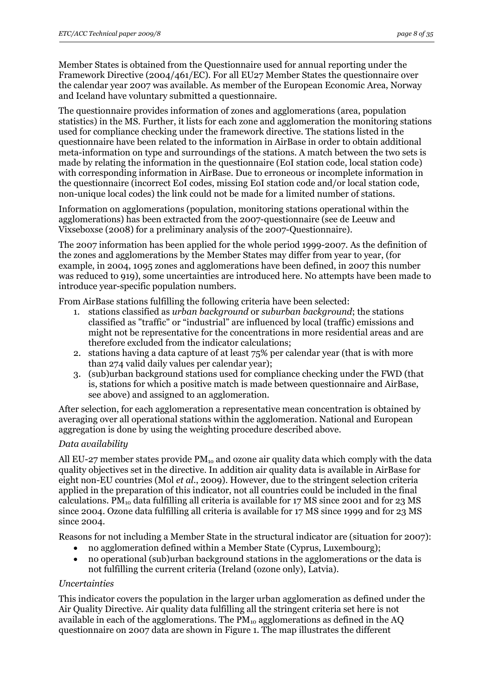Member States is obtained from the Questionnaire used for annual reporting under the Framework Directive (2004/461/EC). For all EU27 Member States the questionnaire over the calendar year 2007 was available. As member of the European Economic Area, Norway and Iceland have voluntary submitted a questionnaire.

The questionnaire provides information of zones and agglomerations (area, population statistics) in the MS. Further, it lists for each zone and agglomeration the monitoring stations used for compliance checking under the framework directive. The stations listed in the questionnaire have been related to the information in AirBase in order to obtain additional meta-information on type and surroundings of the stations. A match between the two sets is made by relating the information in the questionnaire (EoI station code, local station code) with corresponding information in AirBase. Due to erroneous or incomplete information in the questionnaire (incorrect EoI codes, missing EoI station code and/or local station code, non-unique local codes) the link could not be made for a limited number of stations.

Information on agglomerations (population, monitoring stations operational within the agglomerations) has been extracted from the 2007-questionnaire (see de Leeuw and Vixseboxse (2008) for a preliminary analysis of the 2007-Questionnaire).

The 2007 information has been applied for the whole period 1999-2007. As the definition of the zones and agglomerations by the Member States may differ from year to year, (for example, in 2004, 1095 zones and agglomerations have been defined, in 2007 this number was reduced to 919), some uncertainties are introduced here. No attempts have been made to introduce year-specific population numbers.

From AirBase stations fulfilling the following criteria have been selected:

- 1. stations classified as *urban background* or *suburban background*; the stations classified as "traffic" or "industrial" are influenced by local (traffic) emissions and might not be representative for the concentrations in more residential areas and are therefore excluded from the indicator calculations;
- 2. stations having a data capture of at least 75% per calendar year (that is with more than 274 valid daily values per calendar year);
- 3. (sub)urban background stations used for compliance checking under the FWD (that is, stations for which a positive match is made between questionnaire and AirBase, see above) and assigned to an agglomeration.

After selection, for each agglomeration a representative mean concentration is obtained by averaging over all operational stations within the agglomeration. National and European aggregation is done by using the weighting procedure described above.

#### *Data availability*

All EU-27 member states provide  $PM_{10}$  and ozone air quality data which comply with the data quality objectives set in the directive. In addition air quality data is available in AirBase for eight non-EU countries (Mol *et al*., 2009). However, due to the stringent selection criteria applied in the preparation of this indicator, not all countries could be included in the final calculations. PM<sub>10</sub> data fulfilling all criteria is available for 17 MS since 2001 and for 23 MS since 2004. Ozone data fulfilling all criteria is available for 17 MS since 1999 and for 23 MS since 2004.

Reasons for not including a Member State in the structural indicator are (situation for 2007):

- no agglomeration defined within a Member State (Cyprus, Luxembourg);
- no operational (sub)urban background stations in the agglomerations or the data is not fulfilling the current criteria (Ireland (ozone only), Latvia).

#### *Uncertainties*

This indicator covers the population in the larger urban agglomeration as defined under the Air Quality Directive. Air quality data fulfilling all the stringent criteria set here is not available in each of the agglomerations. The  $PM_{10}$  agglomerations as defined in the AO questionnaire on 2007 data are shown in Figure 1. The map illustrates the different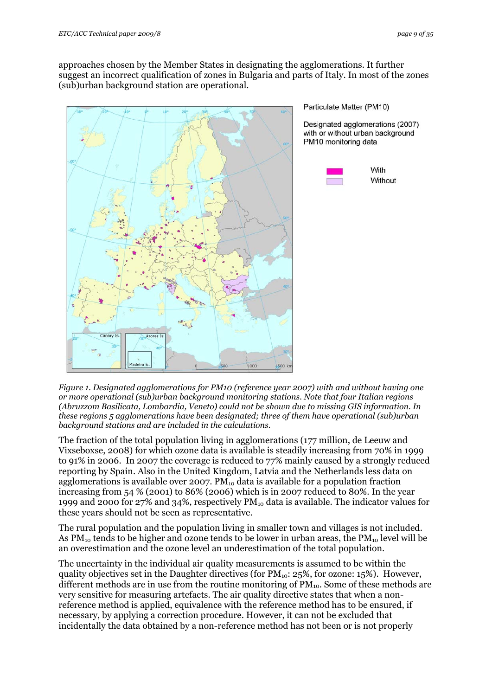approaches chosen by the Member States in designating the agglomerations. It further suggest an incorrect qualification of zones in Bulgaria and parts of Italy. In most of the zones (sub)urban background station are operational.



Particulate Matter (PM10)

Designated agglomerations (2007) with or without urban background PM10 monitoring data



*Figure 1. Designated agglomerations for PM10 (reference year 2007) with and without having one or more operational (sub)urban background monitoring stations. Note that four Italian regions (Abruzzom Basilicata, Lombardia, Veneto) could not be shown due to missing GIS information. In these regions 5 agglomerations have been designated; three of them have operational (sub)urban background stations and are included in the calculations.* 

The fraction of the total population living in agglomerations (177 million, de Leeuw and Vixseboxse, 2008) for which ozone data is available is steadily increasing from 70% in 1999 to 91% in 2006. In 2007 the coverage is reduced to 77% mainly caused by a strongly reduced reporting by Spain. Also in the United Kingdom, Latvia and the Netherlands less data on agglomerations is available over 2007.  $PM_{10}$  data is available for a population fraction increasing from 54 % (2001) to 86% (2006) which is in 2007 reduced to 80%. In the year 1999 and 2000 for 27% and 34%, respectively  $PM_{10}$  data is available. The indicator values for these years should not be seen as representative.

The rural population and the population living in smaller town and villages is not included. As  $PM_{10}$  tends to be higher and ozone tends to be lower in urban areas, the  $PM_{10}$  level will be an overestimation and the ozone level an underestimation of the total population.

The uncertainty in the individual air quality measurements is assumed to be within the quality objectives set in the Daughter directives (for  $PM_{10}$ : 25%, for ozone: 15%). However, different methods are in use from the routine monitoring of  $PM_{10}$ . Some of these methods are very sensitive for measuring artefacts. The air quality directive states that when a nonreference method is applied, equivalence with the reference method has to be ensured, if necessary, by applying a correction procedure. However, it can not be excluded that incidentally the data obtained by a non-reference method has not been or is not properly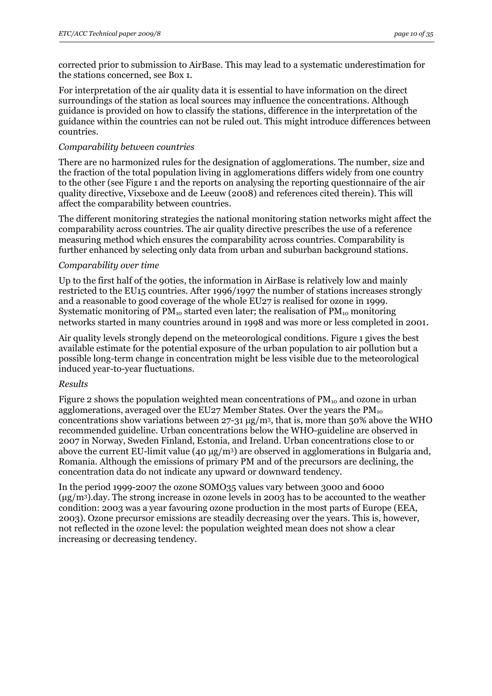corrected prior to submission to AirBase. This may lead to a systematic underestimation for the stations concerned, see Box 1.

For interpretation of the air quality data it is essential to have information on the direct surroundings of the station as local sources may influence the concentrations. Although guidance is provided on how to classify the stations, difference in the interpretation of the guidance within the countries can not be ruled out. This might introduce differences between countries.

#### *Comparability between countries*

There are no harmonized rules for the designation of agglomerations. The number, size and the fraction of the total population living in agglomerations differs widely from one country to the other (see Figure 1 and the reports on analysing the reporting questionnaire of the air quality directive, Vixseboxe and de Leeuw (2008) and references cited therein). This will affect the comparability between countries.

The different monitoring strategies the national monitoring station networks might affect the comparability across countries. The air quality directive prescribes the use of a reference measuring method which ensures the comparability across countries. Comparability is further enhanced by selecting only data from urban and suburban background stations.

#### *Comparability over time*

Up to the first half of the 90ties, the information in AirBase is relatively low and mainly restricted to the EU15 countries. After 1996/1997 the number of stations increases strongly and a reasonable to good coverage of the whole EU27 is realised for ozone in 1999. Systematic monitoring of  $PM_{10}$  started even later; the realisation of  $PM_{10}$  monitoring networks started in many countries around in 1998 and was more or less completed in 2001.

Air quality levels strongly depend on the meteorological conditions. Figure 1 gives the best available estimate for the potential exposure of the urban population to air pollution but a possible long-term change in concentration might be less visible due to the meteorological induced year-to-year fluctuations.

#### *Results*

Figure 2 shows the population weighted mean concentrations of  $PM_{10}$  and ozone in urban agglomerations, averaged over the EU27 Member States. Over the years the  $PM_{10}$ concentrations show variations between  $27-31 \mu g/m^3$ , that is, more than 50% above the WHO recommended guideline. Urban concentrations below the WHO-guideline are observed in 2007 in Norway, Sweden Finland, Estonia, and Ireland. Urban concentrations close to or above the current EU-limit value (40 μg/m3) are observed in agglomerations in Bulgaria and, Romania. Although the emissions of primary PM and of the precursors are declining, the concentration data do not indicate any upward or downward tendency.

In the period 1999-2007 the ozone SOMO35 values vary between 3000 and 6000 (μg/m3).day. The strong increase in ozone levels in 2003 has to be accounted to the weather condition: 2003 was a year favouring ozone production in the most parts of Europe (EEA, 2003). Ozone precursor emissions are steadily decreasing over the years. This is, however, not reflected in the ozone level: the population weighted mean does not show a clear increasing or decreasing tendency.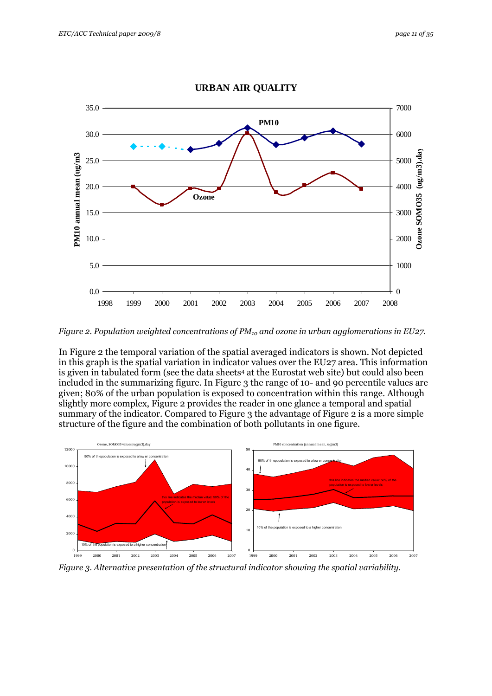

**URBAN AIR QUALITY**

*Figure 2. Population weighted concentrations of PM<sub>10</sub> and ozone in urban agglomerations in EU27.* 

In Figure 2 the temporal variation of the spatial averaged indicators is shown. Not depicted in this graph is the spatial variation in indicator values over the EU27 area. This information is given in tabulated form (see the data sheets<sup>4</sup> at the Eurostat web site) but could also been included in the summarizing figure. In Figure 3 the range of 10- and 90 percentile values are given; 80% of the urban population is exposed to concentration within this range. Although slightly more complex, Figure 2 provides the reader in one glance a temporal and spatial summary of the indicator. Compared to Figure 3 the advantage of Figure 2 is a more simple structure of the figure and the combination of both pollutants in one figure.



*Figure 3. Alternative presentation of the structural indicator showing the spatial variability.*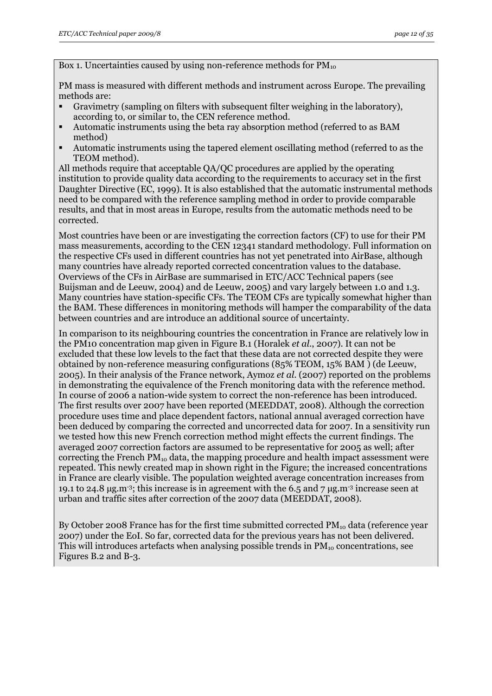Box 1. Uncertainties caused by using non-reference methods for  $PM_{10}$ 

PM mass is measured with different methods and instrument across Europe. The prevailing methods are:

- Gravimetry (sampling on filters with subsequent filter weighing in the laboratory), according to, or similar to, the CEN reference method.
- Automatic instruments using the beta ray absorption method (referred to as BAM method)
- Automatic instruments using the tapered element oscillating method (referred to as the TEOM method).

All methods require that acceptable QA/QC procedures are applied by the operating institution to provide quality data according to the requirements to accuracy set in the first Daughter Directive (EC, 1999). It is also established that the automatic instrumental methods need to be compared with the reference sampling method in order to provide comparable results, and that in most areas in Europe, results from the automatic methods need to be corrected.

Most countries have been or are investigating the correction factors (CF) to use for their PM mass measurements, according to the CEN 12341 standard methodology. Full information on the respective CFs used in different countries has not yet penetrated into AirBase, although many countries have already reported corrected concentration values to the database. Overviews of the CFs in AirBase are summarised in ETC/ACC Technical papers (see Buijsman and de Leeuw, 2004) and de Leeuw, 2005) and vary largely between 1.0 and 1.3. Many countries have station-specific CFs. The TEOM CFs are typically somewhat higher than the BAM. These differences in monitoring methods will hamper the comparability of the data between countries and are introduce an additional source of uncertainty.

In comparison to its neighbouring countries the concentration in France are relatively low in the PM10 concentration map given in Figure B.1 (Horalek *et al*., 2007). It can not be excluded that these low levels to the fact that these data are not corrected despite they were obtained by non-reference measuring configurations (85% TEOM, 15% BAM ) (de Leeuw, 2005). In their analysis of the France network, Aymoz *et al*. (2007) reported on the problems in demonstrating the equivalence of the French monitoring data with the reference method. In course of 2006 a nation-wide system to correct the non-reference has been introduced. The first results over 2007 have been reported (MEEDDAT, 2008). Although the correction procedure uses time and place dependent factors, national annual averaged correction have been deduced by comparing the corrected and uncorrected data for 2007. In a sensitivity run we tested how this new French correction method might effects the current findings. The averaged 2007 correction factors are assumed to be representative for 2005 as well; after correcting the French  $PM_{10}$  data, the mapping procedure and health impact assessment were repeated. This newly created map in shown right in the Figure; the increased concentrations in France are clearly visible. The population weighted average concentration increases from 19.1 to 24.8 μg.m<sup>-3</sup>; this increase is in agreement with the 6.5 and 7 μg.m<sup>-3</sup> increase seen at urban and traffic sites after correction of the 2007 data (MEEDDAT, 2008).

By October 2008 France has for the first time submitted corrected  $PM_{10}$  data (reference year 2007) under the EoI. So far, corrected data for the previous years has not been delivered. This will introduces artefacts when analysing possible trends in  $PM_{10}$  concentrations, see Figures B.2 and B-3.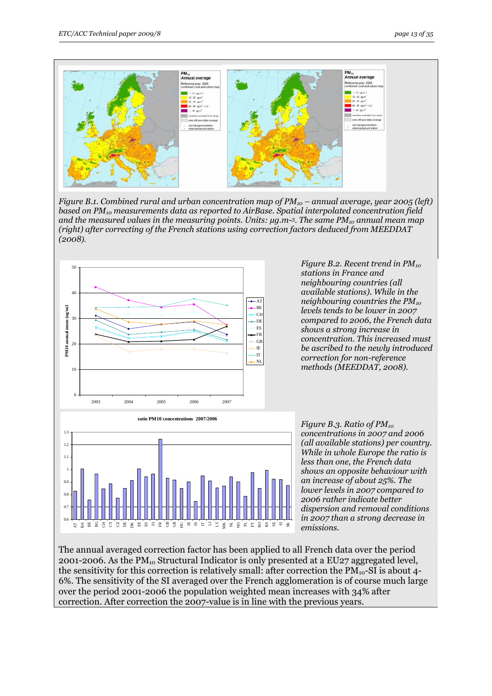

*Figure B.1. Combined rural and urban concentration map of PM10 – annual average, year 2005 (left) based on PM10 measurements data as reported to AirBase. Spatial interpolated concentration field and the measured values in the measuring points. Units: µg.m-3. The same PM10 annual mean map (right) after correcting of the French stations using correction factors deduced from MEEDDAT (2008).* 



*Figure B.2. Recent trend in PM10 stations in France and neighbouring countries (all available stations). While in the neighbouring countries the PM10 levels tends to be lower in 2007 compared to 2006, the French data shows a strong increase in concentration. This increased must be ascribed to the newly introduced correction for non-reference methods (MEEDDAT, 2008).* 



*Figure B.3. Ratio of PM<sub>10</sub> concentrations in 2007 and 2006 (all available stations) per country. While in whole Europe the ratio is less than one, the French data shows an opposite behaviour with an increase of about 25%. The lower levels in 2007 compared to 2006 rather indicate better dispersion and removal conditions in 2007 than a strong decrease in emissions.* 

The annual averaged correction factor has been applied to all French data over the period 2001-2006. As the  $PM_{10}$  Structural Indicator is only presented at a EU27 aggregated level, the sensitivity for this correction is relatively small: after correction the  $PM_{10}$ -SI is about 4-6%. The sensitivity of the SI averaged over the French agglomeration is of course much large over the period 2001-2006 the population weighted mean increases with 34% after correction. After correction the 2007-value is in line with the previous years.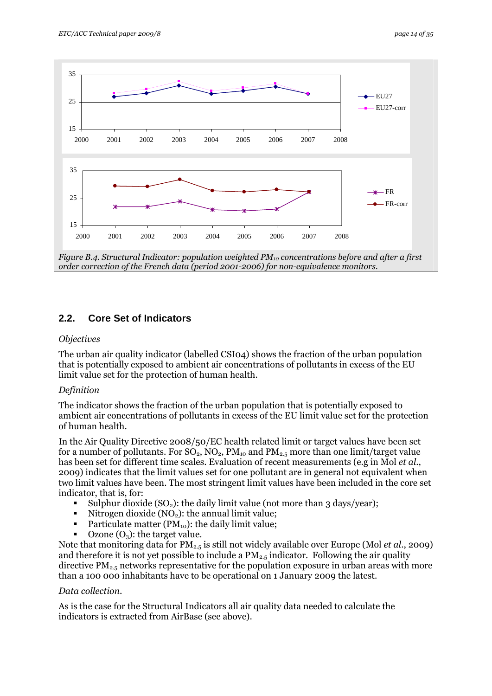<span id="page-13-0"></span>

*Figure B.4. Structural Indicator: population weighted PM10 concentrations before and after a first order correction of the French data (period 2001-2006) for non-equivalence monitors.* 

### **2.2. Core Set of Indicators**

#### *Objectives*

The urban air quality indicator (labelled CSI04) shows the fraction of the urban population that is potentially exposed to ambient air concentrations of pollutants in excess of the EU limit value set for the protection of human health.

#### *Definition*

The indicator shows the fraction of the urban population that is potentially exposed to ambient air concentrations of pollutants in excess of the EU limit value set for the protection of human health.

In the Air Quality Directive 2008/50/EC health related limit or target values have been set for a number of pollutants. For  $SO_2$ ,  $NO_2$ ,  $PM_{10}$  and  $PM_{2.5}$  more than one limit/target value has been set for different time scales. Evaluation of recent measurements (e.g in Mol *et al*., 2009) indicates that the limit values set for one pollutant are in general not equivalent when two limit values have been. The most stringent limit values have been included in the core set indicator, that is, for:

- Sulphur dioxide  $(SO_2)$ : the daily limit value (not more than 3 days/year);
- Nitrogen dioxide  $(NO<sub>2</sub>)$ : the annual limit value;
- Particulate matter  $(PM_{10})$ : the daily limit value;
- Ozone  $(O_3)$ : the target value.

Note that monitoring data for PM2.5 is still not widely available over Europe (Mol *et al*., 2009) and therefore it is not yet possible to include a  $PM_{2.5}$  indicator. Following the air quality directive  $PM_{2.5}$  networks representative for the population exposure in urban areas with more than a 100 000 inhabitants have to be operational on 1 January 2009 the latest.

#### *Data collection.*

As is the case for the Structural Indicators all air quality data needed to calculate the indicators is extracted from AirBase (see above).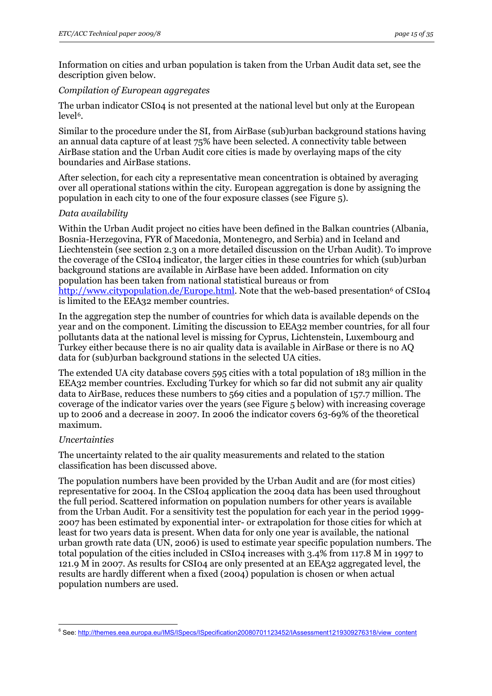<span id="page-14-0"></span>Information on cities and urban population is taken from the Urban Audit data set, see the description given below.

#### *Compilation of European aggregates*

The urban indicator CSI04 is not presented at the national level but only at the European level<sup>6</sup>.

Similar to the procedure under the SI, from AirBase (sub)urban background stations having an annual data capture of at least 75% have been selected. A connectivity table between AirBase station and the Urban Audit core cities is made by overlaying maps of the city boundaries and AirBase stations.

After selection, for each city a representative mean concentration is obtained by averaging over all operational stations within the city. European aggregation is done by assigning the population in each city to one of the four exposure classes (see Figure 5).

#### *Data availability*

Within the Urban Audit project no cities have been defined in the Balkan countries (Albania, Bosnia-Herzegovina, FYR of Macedonia, Montenegro, and Serbia) and in Iceland and Liechtenstein (see section 2.3 on a more detailed discussion on the Urban Audit). To improve the coverage of the CSI04 indicator, the larger cities in these countries for which (sub)urban background stations are available in AirBase have been added. Information on city population has been taken from national statistical bureaus or from [http://www.citypopulation.de/Europe.html.](http://www.citypopulation.de/Europe.html) Note that the web-based presentation<sup>6</sup> of CSI04 is limited to the EEA32 member countries.

In the aggregation step the number of countries for which data is available depends on the year and on the component. Limiting the discussion to EEA32 member countries, for all four pollutants data at the national level is missing for Cyprus, Lichtenstein, Luxembourg and Turkey either because there is no air quality data is available in AirBase or there is no AQ data for (sub)urban background stations in the selected UA cities.

The extended UA city database covers 595 cities with a total population of 183 million in the EEA32 member countries. Excluding Turkey for which so far did not submit any air quality data to AirBase, reduces these numbers to 569 cities and a population of 157.7 million. The coverage of the indicator varies over the years (see Figure 5 below) with increasing coverage up to 2006 and a decrease in 2007. In 2006 the indicator covers 63-69% of the theoretical maximum.

#### *Uncertainties*

The uncertainty related to the air quality measurements and related to the station classification has been discussed above.

The population numbers have been provided by the Urban Audit and are (for most cities) representative for 2004. In the CSI04 application the 2004 data has been used throughout the full period. Scattered information on population numbers for other years is available from the Urban Audit. For a sensitivity test the population for each year in the period 1999- 2007 has been estimated by exponential inter- or extrapolation for those cities for which at least for two years data is present. When data for only one year is available, the national urban growth rate data (UN, 2006) is used to estimate year specific population numbers. The total population of the cities included in CSI04 increases with 3.4% from 117.8 M in 1997 to 121.9 M in 2007. As results for CSI04 are only presented at an EEA32 aggregated level, the results are hardly different when a fixed (2004) population is chosen or when actual population numbers are used.

<sup>1</sup> <sup>6</sup> See: http://themes.eea.europa.eu/IMS/ISpecs/ISpecification20080701123452/IAssessment1219309276318/view\_content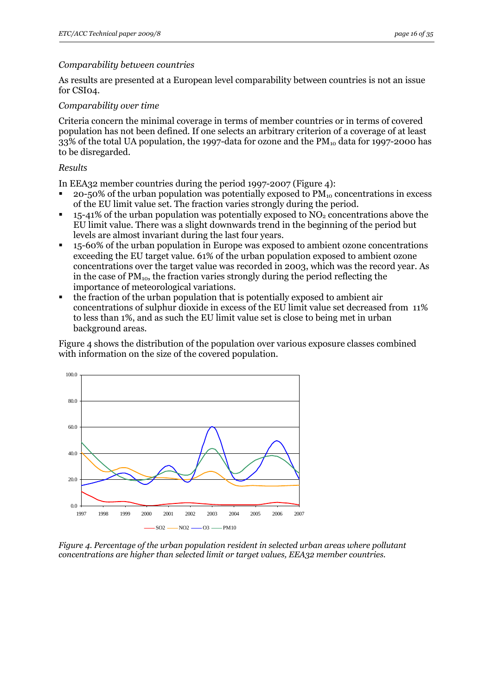#### *Comparability between countries*

As results are presented at a European level comparability between countries is not an issue for CSI04.

#### *Comparability over time*

Criteria concern the minimal coverage in terms of member countries or in terms of covered population has not been defined. If one selects an arbitrary criterion of a coverage of at least 33% of the total UA population, the 1997-data for ozone and the  $PM_{10}$  data for 1997-2000 has to be disregarded.

#### *Results*

In EEA32 member countries during the period 1997-2007 (Figure 4):

- 20-50% of the urban population was potentially exposed to  $PM_{10}$  concentrations in excess of the EU limit value set. The fraction varies strongly during the period.
- 15-41% of the urban population was potentially exposed to  $NO<sub>2</sub>$  concentrations above the EU limit value. There was a slight downwards trend in the beginning of the period but levels are almost invariant during the last four years.
- 15-60% of the urban population in Europe was exposed to ambient ozone concentrations exceeding the EU target value. 61% of the urban population exposed to ambient ozone concentrations over the target value was recorded in 2003, which was the record year. As in the case of  $PM_{10}$ , the fraction varies strongly during the period reflecting the importance of meteorological variations.
- the fraction of the urban population that is potentially exposed to ambient air concentrations of sulphur dioxide in excess of the EU limit value set decreased from 11% to less than 1%, and as such the EU limit value set is close to being met in urban background areas.

Figure 4 shows the distribution of the population over various exposure classes combined with information on the size of the covered population.



*Figure 4. Percentage of the urban population resident in selected urban areas where pollutant concentrations are higher than selected limit or target values, EEA32 member countries.*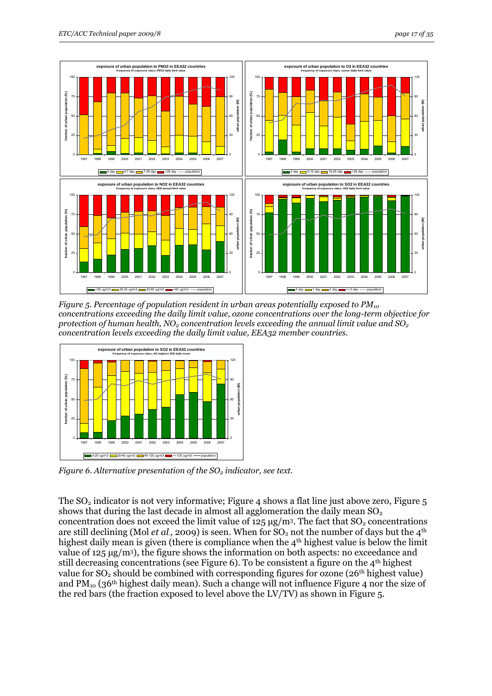



*Figure 5. Percentage of population resident in urban areas potentially exposed to PM<sub>10</sub> concentrations exceeding the daily limit value, ozone concentrations over the long-term objective for protection of human health, NO2 concentration levels exceeding the annual limit value and SO2 concentration levels exceeding the daily limit value, EEA32 member countries.* 



*Figure 6. Alternative presentation of the SO<sub>2</sub> indicator, see text.* 

The  $SO_2$  indicator is not very informative; Figure 4 shows a flat line just above zero, Figure 5 shows that during the last decade in almost all agglomeration the daily mean  $SO<sub>2</sub>$ concentration does not exceed the limit value of  $125 \mu g/m^3$ . The fact that  $SO_2$  concentrations are still declining (Mol *et al.*, 2009) is seen. When for  $SO_2$  not the number of days but the 4<sup>th</sup> highest daily mean is given (there is compliance when the 4<sup>th</sup> highest value is below the limit value of 125 μg/m3), the figure shows the information on both aspects: no exceedance and still decreasing concentrations (see Figure 6). To be consistent a figure on the  $4<sup>th</sup>$  highest value for  $SO_2$  should be combined with corresponding figures for ozone (26<sup>th</sup> highest value) and  $PM_{10}$  (36<sup>th</sup> highest daily mean). Such a change will not influence Figure 4 nor the size of the red bars (the fraction exposed to level above the LV/TV) as shown in Figure 5.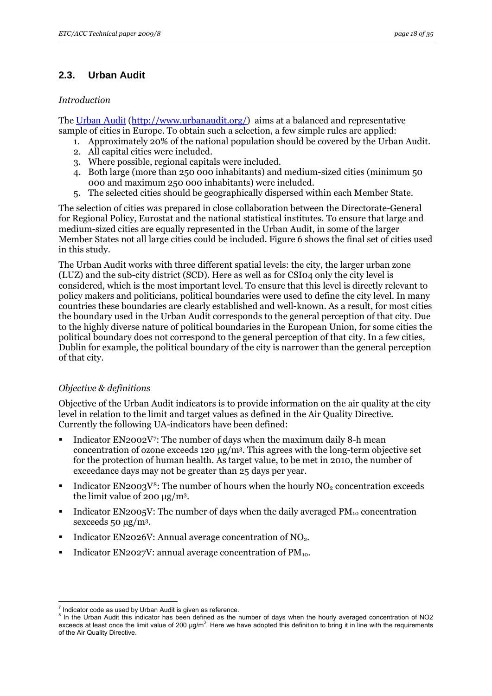## <span id="page-17-0"></span>**2.3. Urban Audit**

#### *Introduction*

The [Urban Audit](http://www.urbanaudit.org/) [\(http://www.urbanaudit.org/\)](http://www.urbanaudit.org/) aims at a balanced and representative sample of cities in Europe. To obtain such a selection, a few simple rules are applied:

- 1. Approximately 20% of the national population should be covered by the Urban Audit.
- 2. All capital cities were included.
- 3. Where possible, regional capitals were included.
- 4. Both large (more than 250 000 inhabitants) and medium-sized cities (minimum 50 000 and maximum 250 000 inhabitants) were included.
- 5. The selected cities should be geographically dispersed within each Member State.

The selection of cities was prepared in close collaboration between the Directorate-General for Regional Policy, Eurostat and the national statistical institutes. To ensure that large and medium-sized cities are equally represented in the Urban Audit, in some of the larger Member States not all large cities could be included. Figure 6 shows the final set of cities used in this study.

The Urban Audit works with three different spatial levels: the city, the larger urban zone (LUZ) and the sub-city district (SCD). Here as well as for CSI04 only the city level is considered, which is the most important level. To ensure that this level is directly relevant to policy makers and politicians, political boundaries were used to define the city level. In many countries these boundaries are clearly established and well-known. As a result, for most cities the boundary used in the Urban Audit corresponds to the general perception of that city. Due to the highly diverse nature of political boundaries in the European Union, for some cities the political boundary does not correspond to the general perception of that city. In a few cities, Dublin for example, the political boundary of the city is narrower than the general perception of that city.

#### *Objective & definitions*

Objective of the Urban Audit indicators is to provide information on the air quality at the city level in relation to the limit and target values as defined in the Air Quality Directive. Currently the following UA-indicators have been defined:

- Indicator EN2002V[7](#page-17-0): The number of days when the maximum daily 8-h mean concentration of ozone exceeds 120  $\mu$ g/m<sup>3</sup>. This agrees with the long-term objective set for the protection of human health. As target value, to be met in 2010, the number of exceedance days may not be greater than 25 days per year.
- Indicator EN2003V<sup>8</sup>: The number of hours when the hourly NO<sub>2</sub> concentration exceeds the limit value of 200 μg/m3.
- Indicator EN2005V: The number of days when the daily averaged  $PM_{10}$  concentration sexceeds 50 μg/m3.
- Indicator EN2026V: Annual average concentration of NO<sub>2</sub>.
- Indicator EN2027V: annual average concentration of  $PM_{10}$ .

<sup>1</sup> 7 Indicator code as used by Urban Audit is given as reference.

 $8$  In the Urban Audit this indicator has been defined as the number of days when the hourly averaged concentration of NO2 exceeds at least once the limit value of 200  $\mu$ g/m<sup>3</sup>. Here we have adopted this definition to bring it in line with the requirements of the Air Quality Directive.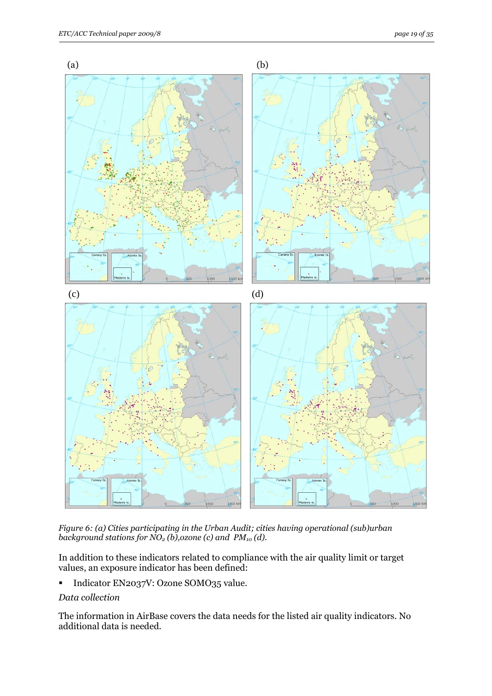

*Figure 6: (a) Cities participating in the Urban Audit; cities having operational (sub)urban*  background stations for  $\overline{NO}_2$  (b), ozone (c) and PM<sub>10</sub> (d).

In addition to these indicators related to compliance with the air quality limit or target values, an exposure indicator has been defined:

Indicator EN2037V: Ozone SOMO35 value.

#### *Data collection*

The information in AirBase covers the data needs for the listed air quality indicators. No additional data is needed.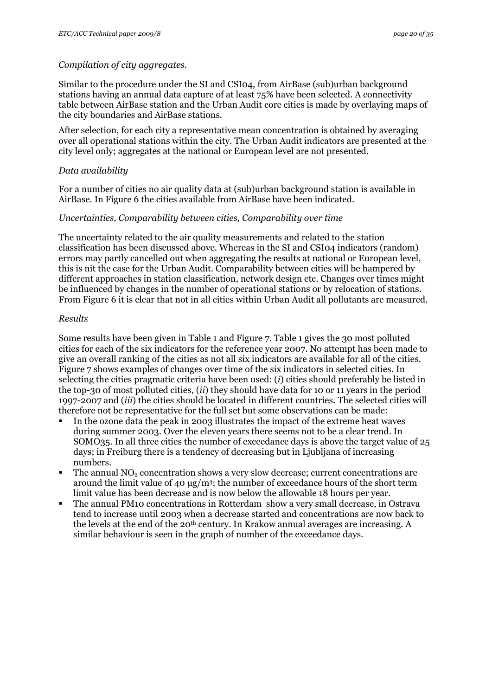#### *Compilation of city aggregates.*

Similar to the procedure under the SI and CSI04, from AirBase (sub)urban background stations having an annual data capture of at least 75% have been selected. A connectivity table between AirBase station and the Urban Audit core cities is made by overlaying maps of the city boundaries and AirBase stations.

After selection, for each city a representative mean concentration is obtained by averaging over all operational stations within the city. The Urban Audit indicators are presented at the city level only; aggregates at the national or European level are not presented.

#### *Data availability*

For a number of cities no air quality data at (sub)urban background station is available in AirBase. In Figure 6 the cities available from AirBase have been indicated.

#### *Uncertainties, Comparability between cities, Comparability over time*

The uncertainty related to the air quality measurements and related to the station classification has been discussed above. Whereas in the SI and CSI04 indicators (random) errors may partly cancelled out when aggregating the results at national or European level, this is nit the case for the Urban Audit. Comparability between cities will be hampered by different approaches in station classification, network design etc. Changes over times might be influenced by changes in the number of operational stations or by relocation of stations. From Figure 6 it is clear that not in all cities within Urban Audit all pollutants are measured.

#### *Results*

Some results have been given in Table 1 and Figure 7. Table 1 gives the 30 most polluted cities for each of the six indicators for the reference year 2007. No attempt has been made to give an overall ranking of the cities as not all six indicators are available for all of the cities. Figure 7 shows examples of changes over time of the six indicators in selected cities. In selecting the cities pragmatic criteria have been used: (*i*) cities should preferably be listed in the top-30 of most polluted cities, (*ii*) they should have data for 10 or 11 years in the period 1997-2007 and (*iii*) the cities should be located in different countries. The selected cities will therefore not be representative for the full set but some observations can be made:

- In the ozone data the peak in 2003 illustrates the impact of the extreme heat waves during summer 2003. Over the eleven years there seems not to be a clear trend. In SOMO35. In all three cities the number of exceedance days is above the target value of 25 days; in Freiburg there is a tendency of decreasing but in Ljubljana of increasing numbers.
- The annual  $NO<sub>2</sub>$  concentration shows a very slow decrease; current concentrations are around the limit value of 40 μg/m3; the number of exceedance hours of the short term limit value has been decrease and is now below the allowable 18 hours per year.
- The annual PM10 concentrations in Rotterdam show a very small decrease, in Ostrava tend to increase until 2003 when a decrease started and concentrations are now back to the levels at the end of the 20<sup>th</sup> century. In Krakow annual averages are increasing. A similar behaviour is seen in the graph of number of the exceedance days.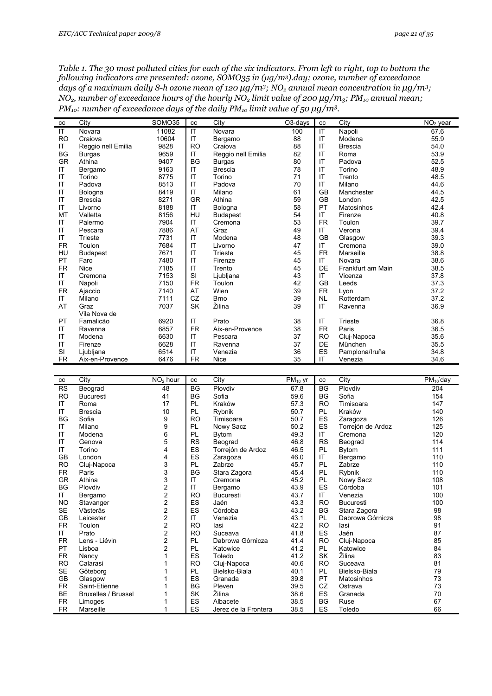*Table 1. The 30 most polluted cities for each of the six indicators. From left to right, top to bottom the following indicators are presented: ozone, SOMO35 in (μg/m3).day; ozone, number of exceedance days of a maximum daily 8-h ozone mean of 120 μg/m3; NO2 annual mean concentration in μg/m3; NO<sub>2</sub>, number of exceedance hours of the hourly NO<sub>2</sub> limit value of 200 μg/m<sub>3</sub>; PM<sub>10</sub> annual mean; PM<sub>10</sub>: number of exceedance days of the daily*  $PM_{10}$  *limit value of 50*  $\mu$ *g/m<sup>3</sup>.* 

| cc             | City               | <b>SOMO35</b> | cc        | City               | O3-days | cc        | City              | $NO2$ year |
|----------------|--------------------|---------------|-----------|--------------------|---------|-----------|-------------------|------------|
| IT             | Novara             | 11082         | IT        | Novara             | 100     | IT        | Napoli            | 67.6       |
| R <sub>O</sub> | Craiova            | 10604         | IT        | Bergamo            | 88      | IT        | Modena            | 55.9       |
| ΙT             | Reggio nell Emilia | 9828          | <b>RO</b> | Craiova            | 88      | IT        | <b>Brescia</b>    | 54.0       |
| <b>BG</b>      | <b>Burgas</b>      | 9659          | IT        | Reggio nell Emilia | 82      | IT        | Roma              | 53.9       |
| GR             | Athina             | 9407          | <b>BG</b> | <b>Burgas</b>      | 80      | IT        | Padova            | 52.5       |
| IT             | Bergamo            | 9163          | IT        | <b>Brescia</b>     | 78      | IT        | Torino            | 48.9       |
| IT             | Torino             | 8775          | IT        | Torino             | 71      | IT        | Trento            | 48.5       |
| IT             | Padova             | 8513          | IT        | Padova             | 70      | IT        | Milano            | 44.6       |
| IT             | Bologna            | 8419          | IT        | Milano             | 61      | GB        | Manchester        | 44.5       |
| IT             | <b>Brescia</b>     | 8271          | GR        | Athina             | 59      | <b>GB</b> | London            | 42.5       |
| IT             | Livorno            | 8188          | IT        | Bologna            | 58      | PT        | Matosinhos        | 42.4       |
| MT             | Valletta           | 8156          | HU        | <b>Budapest</b>    | 54      | IT        | Firenze           | 40.8       |
| IT             | Palermo            | 7904          | IT        | Cremona            | 53      | <b>FR</b> | Toulon            | 39.7       |
| IT             | Pescara            | 7886          | AT        | Graz               | 49      | IT        | Verona            | 39.4       |
| IT             | Trieste            | 7731          | IT        | Modena             | 48      | GB        | Glasgow           | 39.3       |
| <b>FR</b>      | Toulon             | 7684          | IT        | Livorno            | 47      | IT        | Cremona           | 39.0       |
| HU             | <b>Budapest</b>    | 7671          | IT        | Trieste            | 45      | <b>FR</b> | Marseille         | 38.8       |
| PT             | Faro               | 7480          | IT        | Firenze            | 45      | IT        | Novara            | 38.6       |
| <b>FR</b>      | <b>Nice</b>        | 7185          | IT        | Trento             | 45      | DE        | Frankfurt am Main | 38.5       |
| IT             | Cremona            | 7153          | SI        | Ljubljana          | 43      | IT        | Vicenza           | 37.8       |
| IT             | Napoli             | 7150          | <b>FR</b> | Toulon             | 42      | <b>GB</b> | Leeds             | 37.3       |
| <b>FR</b>      | Ajaccio            | 7140          | AT        | Wien               | 39      | <b>FR</b> | Lyon              | 37.2       |
| ΙT             | Milano             | 7111          | CZ        | <b>Brno</b>        | 39      | <b>NL</b> | Rotterdam         | 37.2       |
| AT             | Graz               | 7037          | <b>SK</b> | Žilina             | 39      | IT        | Ravenna           | 36.9       |
|                | Vila Nova de       |               |           |                    |         |           |                   |            |
| PT             | Famalicão          | 6920          | IT        | Prato              | 38      | IT        | Trieste           | 36.8       |
| IT             | Ravenna            | 6857          | <b>FR</b> | Aix-en-Provence    | 38      | <b>FR</b> | Paris             | 36.5       |
| IT             | Modena             | 6630          | IT        | Pescara            | 37      | <b>RO</b> | Cluj-Napoca       | 35.6       |
| IT             | Firenze            | 6628          | IT        | Ravenna            | 37      | DE        | München           | 35.5       |
| SI             | Ljubljana          | 6514          | IT        | Venezia            | 36      | ES        | Pamplona/Iruña    | 34.8       |
| <b>FR</b>      | Aix-en-Provence    | 6476          | <b>FR</b> | Nice               | 35      | IT        | Venezia           | 34.6       |

| cc        | City                       | NO <sub>2</sub> hour | cc        | City                 | $PM_{10}$ yr | cc        | City              | $PM_{10}$ day |
|-----------|----------------------------|----------------------|-----------|----------------------|--------------|-----------|-------------------|---------------|
| <b>RS</b> | Beograd                    | 48                   | <b>BG</b> | Plovdiv              | 67.8         | <b>BG</b> | Plovdiv           | 204           |
| <b>RO</b> | <b>Bucuresti</b>           | 41                   | <b>BG</b> | Sofia                | 59.6         | <b>BG</b> | Sofia             | 154           |
| IT        | Roma                       | 17                   | PL        | Kraków               | 57.3         | <b>RO</b> | Timisoara         | 147           |
| IT        | <b>Brescia</b>             | 10                   | PL        | Rybnik               | 50.7         | <b>PL</b> | Kraków            | 140           |
| <b>BG</b> | Sofia                      | 9                    | <b>RO</b> | Timisoara            | 50.7         | ES        | Zaragoza          | 126           |
| ΙT        | Milano                     | 9                    | PL        | Nowy Sacz            | 50.2         | ES        | Torrejón de Ardoz | 125           |
| IT        | Modena                     | 6                    | PL        | <b>Bytom</b>         | 49.3         | IT        | Cremona           | 120           |
| IT        | Genova                     | 5                    | <b>RS</b> | Beograd              | 46.8         | <b>RS</b> | Beograd           | 114           |
| IT        | Torino                     | 4                    | ES        | Torrejón de Ardoz    | 46.5         | PL        | <b>B</b> ytom     | 111           |
| GB        | London                     | 4                    | ES        | Zaragoza             | 46.0         | IT        | Bergamo           | 110           |
| <b>RO</b> | Cluj-Napoca                | 3                    | PL        | Zabrze               | 45.7         | PL        | Zabrze            | 110           |
| FR.       | Paris                      | 3                    | <b>BG</b> | Stara Zagora         | 45.4         | <b>PL</b> | Rybnik            | 110           |
| <b>GR</b> | Athina                     | 3                    | IT        | Cremona              | 45.2         | <b>PL</b> | Nowy Sacz         | 108           |
| BG        | Plovdiv                    | 2                    | IT        | Bergamo              | 43.9         | ES        | Córdoba           | 101           |
| ΙT        | Bergamo                    | $\frac{2}{2}$        | <b>RO</b> | <b>Bucuresti</b>     | 43.7         | IT        | Venezia           | 100           |
| <b>NO</b> | Stavanger                  |                      | ES        | Jaén                 | 43.3         | <b>RO</b> | <b>Bucuresti</b>  | 100           |
| <b>SE</b> | Västerås                   | $\frac{2}{2}$        | ES        | Córdoba              | 43.2         | BG        | Stara Zagora      | 98            |
| GB        | Leicester                  |                      | IT        | Venezia              | 43.1         | <b>PL</b> | Dabrowa Górnicza  | 98            |
| <b>FR</b> | Toulon                     | $\frac{2}{2}$        | <b>RO</b> | lasi                 | 42.2         | <b>RO</b> | lasi              | 91            |
| IT        | Prato                      |                      | <b>RO</b> | Suceava              | 41.8         | <b>ES</b> | Jaén              | 87            |
| <b>FR</b> | Lens - Liévin              | $\overline{c}$       | PL        | Dabrowa Górnicza     | 41.4         | <b>RO</b> | Cluj-Napoca       | 85            |
| PT        | Lisboa                     | $\overline{c}$       | PL        | Katowice             | 41.2         | PL        | Katowice          | 84            |
| <b>FR</b> | Nancy                      |                      | ES        | Toledo               | 41.2         | <b>SK</b> | Žilina            | 83            |
| <b>RO</b> | Calarasi                   |                      | <b>RO</b> | Cluj-Napoca          | 40.6         | <b>RO</b> | Suceava           | 81            |
| <b>SE</b> | Göteborg                   |                      | PL        | Bielsko-Biala        | 40.1         | <b>PL</b> | Bielsko-Biala     | 79            |
| GB        | Glasgow                    |                      | ES        | Granada              | 39.8         | PT        | Matosinhos        | 73            |
| <b>FR</b> | Saint-Etienne              |                      | <b>BG</b> | Pleven               | 39.5         | CZ        | Ostrava           | 73            |
| <b>BE</b> | <b>Bruxelles / Brussel</b> |                      | SK        | Žilina               | 38.6         | ES        | Granada           | 70            |
| <b>FR</b> | Limoges                    |                      | ES        | Albacete             | 38.5         | <b>BG</b> | Ruse              | 67            |
| <b>FR</b> | Marseille                  |                      | ES        | Jerez de la Frontera | 38.5         | ES        | Toledo            | 66            |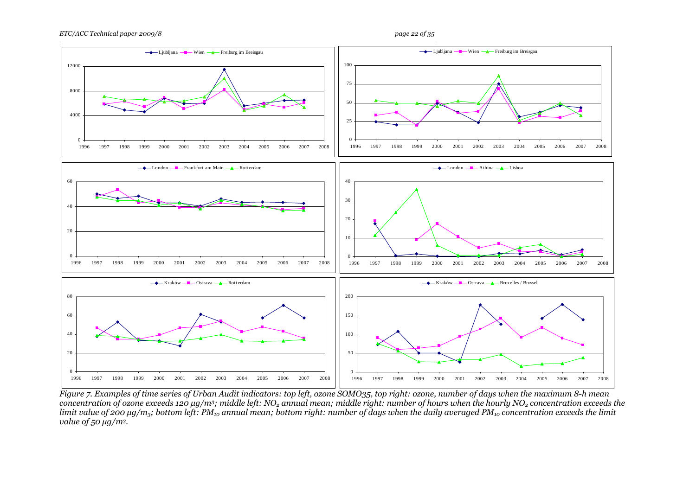

*Figure 7. Examples of time series of Urban Audit indicators: top left, ozone SOMO35, top right: ozone, number of days when the maximum 8-h mean concentration of ozone exceeds 120 μg/m<sup>3</sup>; middle left: NO<sub>2</sub> annual mean; middle right: number of hours when the hourly NO<sub>2</sub> concentration exceeds the limit value of 200 μg/m<sub>3</sub>; bottom left: PM<sub>10</sub> annual mean; bottom right: number of days when the daily averaged PM<sub>10</sub> concentration exceeds the limit value of 50 μg/m3.*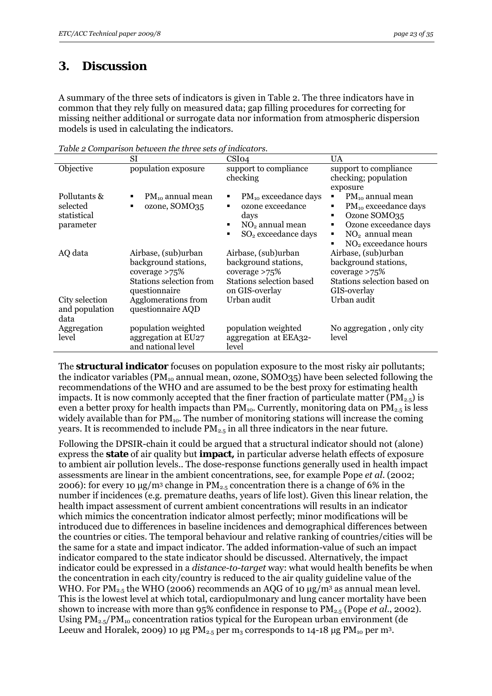## <span id="page-22-0"></span>**3. Discussion**

A summary of the three sets of indicators is given in Table 2. The three indicators have in common that they rely fully on measured data; gap filling procedures for correcting for missing neither additional or surrogate data nor information from atmospheric dispersion models is used in calculating the indicators.

|                                                      | SI                                                                                                                 | CSI <sub>04</sub>                                                                                                              | <b>UA</b>                                                                                                                                                                                 |
|------------------------------------------------------|--------------------------------------------------------------------------------------------------------------------|--------------------------------------------------------------------------------------------------------------------------------|-------------------------------------------------------------------------------------------------------------------------------------------------------------------------------------------|
| Objective                                            | population exposure                                                                                                | support to compliance<br>checking                                                                                              | support to compliance<br>checking; population<br>exposure                                                                                                                                 |
| Pollutants &<br>selected<br>statistical<br>parameter | $PM_{10}$ annual mean<br>ozone, SOMO35                                                                             | PM <sub>10</sub> exceedance days<br>٠<br>ozone exceedance<br>٠<br>days<br>$NO2$ annual mean<br>SO <sub>2</sub> exceedance days | $PM_{10}$ annual mean<br>٠<br>PM <sub>10</sub> exceedance days<br>٠<br>Ozone SOMO35<br>٠<br>Ozone exceedance days<br>٠<br>$NO2$ annual mean<br>٠<br>NO <sub>2</sub> exceedance hours<br>٠ |
| AQ data                                              | Airbase, (sub)urban<br>background stations,<br>coverage $>75\%$<br><b>Stations selection from</b><br>questionnaire | Airbase, (sub) urban<br>background stations,<br>coverage $>75\%$<br><b>Stations selection based</b><br>on GIS-overlay          | Airbase, (sub)urban<br>background stations,<br>coverage $>75\%$<br>Stations selection based on<br>GIS-overlay                                                                             |
| City selection<br>and population<br>data             | Agglomerations from<br>questionnaire AQD                                                                           | Urban audit                                                                                                                    | Urban audit                                                                                                                                                                               |
| Aggregation<br>level                                 | population weighted<br>aggregation at EU27<br>and national level                                                   | population weighted<br>aggregation at EEA32-<br>level                                                                          | No aggregation, only city<br>level                                                                                                                                                        |

*Table 2 Comparison between the three sets of indicators.* 

The **structural indicator** focuses on population exposure to the most risky air pollutants; the indicator variables ( $PM_{10}$  annual mean, ozone, SOMO35) have been selected following the recommendations of the WHO and are assumed to be the best proxy for estimating health impacts. It is now commonly accepted that the finer fraction of particulate matter ( $PM_{2.5}$ ) is even a better proxy for health impacts than PM<sub>10</sub>. Currently, monitoring data on PM<sub>2.5</sub> is less widely available than for  $PM_{10}$ . The number of monitoring stations will increase the coming years. It is recommended to include  $PM_{2.5}$  in all three indicators in the near future.

Following the DPSIR-chain it could be argued that a structural indicator should not (alone) express the **state** of air quality but **impact,** in particular adverse helath effects of exposure to ambient air pollution levels.. The dose-response functions generally used in health impact assessments are linear in the ambient concentrations, see, for example Pope *et al*. (2002; 2006): for every 10  $\mu$ g/m<sup>3</sup> change in PM<sub>2.5</sub> concentration there is a change of 6% in the number if incidences (e.g. premature deaths, years of life lost). Given this linear relation, the health impact assessment of current ambient concentrations will results in an indicator which mimics the concentration indicator almost perfectly; minor modifications will be introduced due to differences in baseline incidences and demographical differences between the countries or cities. The temporal behaviour and relative ranking of countries/cities will be the same for a state and impact indicator. The added information-value of such an impact indicator compared to the state indicator should be discussed. Alternatively, the impact indicator could be expressed in a *distance-to-target* way: what would health benefits be when the concentration in each city/country is reduced to the air quality guideline value of the WHO. For  $PM_{2.5}$  the WHO (2006) recommends an AQG of 10  $\mu$ g/m<sup>3</sup> as annual mean level. This is the lowest level at which total, cardiopulmonary and lung cancer mortality have been shown to increase with more than 95% confidence in response to PM2.5 (Pope *et al*., 2002). Using  $PM_{2.5}/PM_{10}$  concentration ratios typical for the European urban environment (de Leeuw and Horalek, 2009) 10 μg  $PM_{2.5}$  per m<sub>3</sub> corresponds to 14-18 μg  $PM_{10}$  per m<sup>3</sup>.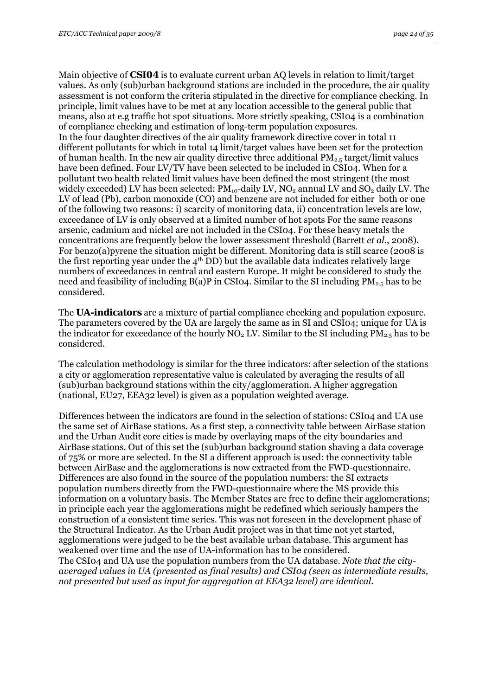Main objective of **CSI04** is to evaluate current urban AQ levels in relation to limit/target values. As only (sub)urban background stations are included in the procedure, the air quality assessment is not conform the criteria stipulated in the directive for compliance checking. In principle, limit values have to be met at any location accessible to the general public that means, also at e.g traffic hot spot situations. More strictly speaking, CSI04 is a combination of compliance checking and estimation of long-term population exposures. In the four daughter directives of the air quality framework directive cover in total 11 different pollutants for which in total 14 limit/target values have been set for the protection of human health. In the new air quality directive three additional  $PM_{2.5}$  target/limit values have been defined. Four LV/TV have been selected to be included in CSI04. When for a pollutant two health related limit values have been defined the most stringent (the most widely exceeded) LV has been selected:  $PM_{10}$ -daily LV, NO<sub>2</sub> annual LV and SO<sub>2</sub> daily LV. The LV of lead (Pb), carbon monoxide (CO) and benzene are not included for either both or one of the following two reasons: i) scarcity of monitoring data, ii) concentration levels are low, exceedance of LV is only observed at a limited number of hot spots For the same reasons arsenic, cadmium and nickel are not included in the CSI04. For these heavy metals the concentrations are frequently below the lower assessment threshold (Barrett *et al*., 2008). For benzo(a)pyrene the situation might be different. Monitoring data is still scarce (2008 is the first reporting year under the  $4<sup>th</sup>$  DD) but the available data indicates relatively large numbers of exceedances in central and eastern Europe. It might be considered to study the need and feasibility of including  $B(a)P$  in CSI04. Similar to the SI including  $PM_{2.5}$  has to be considered.

The **UA-indicators** are a mixture of partial compliance checking and population exposure. The parameters covered by the UA are largely the same as in SI and CSI04; unique for UA is the indicator for exceedance of the hourly  $NO<sub>2</sub> LV$ . Similar to the SI including  $PM<sub>2.5</sub>$  has to be considered.

The calculation methodology is similar for the three indicators: after selection of the stations a city or agglomeration representative value is calculated by averaging the results of all (sub)urban background stations within the city/agglomeration. A higher aggregation (national, EU27, EEA32 level) is given as a population weighted average.

Differences between the indicators are found in the selection of stations: CSI04 and UA use the same set of AirBase stations. As a first step, a connectivity table between AirBase station and the Urban Audit core cities is made by overlaying maps of the city boundaries and AirBase stations. Out of this set the (sub)urban background station shaving a data coverage of 75% or more are selected. In the SI a different approach is used: the connectivity table between AirBase and the agglomerations is now extracted from the FWD-questionnaire. Differences are also found in the source of the population numbers: the SI extracts population numbers directly from the FWD-questionnaire where the MS provide this information on a voluntary basis. The Member States are free to define their agglomerations; in principle each year the agglomerations might be redefined which seriously hampers the construction of a consistent time series. This was not foreseen in the development phase of the Structural Indicator. As the Urban Audit project was in that time not yet started, agglomerations were judged to be the best available urban database. This argument has weakened over time and the use of UA-information has to be considered. The CSI04 and UA use the population numbers from the UA database. *Note that the cityaveraged values in UA (presented as final results) and CSI04 (seen as intermediate results, not presented but used as input for aggregation at EEA32 level) are identical.*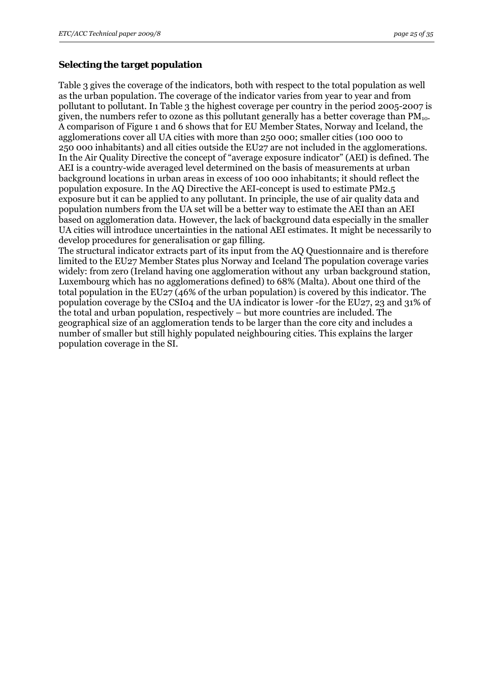#### **Selecting the target population**

Table 3 gives the coverage of the indicators, both with respect to the total population as well as the urban population. The coverage of the indicator varies from year to year and from pollutant to pollutant. In Table 3 the highest coverage per country in the period 2005-2007 is given, the numbers refer to ozone as this pollutant generally has a better coverage than  $PM_{10}$ . A comparison of Figure 1 and 6 shows that for EU Member States, Norway and Iceland, the agglomerations cover all UA cities with more than 250 000; smaller cities (100 000 to 250 000 inhabitants) and all cities outside the EU27 are not included in the agglomerations. In the Air Quality Directive the concept of "average exposure indicator" (AEI) is defined. The AEI is a country-wide averaged level determined on the basis of measurements at urban background locations in urban areas in excess of 100 000 inhabitants; it should reflect the population exposure. In the AQ Directive the AEI-concept is used to estimate PM2.5 exposure but it can be applied to any pollutant. In principle, the use of air quality data and population numbers from the UA set will be a better way to estimate the AEI than an AEI based on agglomeration data. However, the lack of background data especially in the smaller UA cities will introduce uncertainties in the national AEI estimates. It might be necessarily to develop procedures for generalisation or gap filling.

The structural indicator extracts part of its input from the AQ Questionnaire and is therefore limited to the EU27 Member States plus Norway and Iceland The population coverage varies widely: from zero (Ireland having one agglomeration without any urban background station, Luxembourg which has no agglomerations defined) to 68% (Malta). About one third of the total population in the EU27 (46% of the urban population) is covered by this indicator. The population coverage by the CSI04 and the UA indicator is lower -for the EU27, 23 and 31% of the total and urban population, respectively – but more countries are included. The geographical size of an agglomeration tends to be larger than the core city and includes a number of smaller but still highly populated neighbouring cities. This explains the larger population coverage in the SI.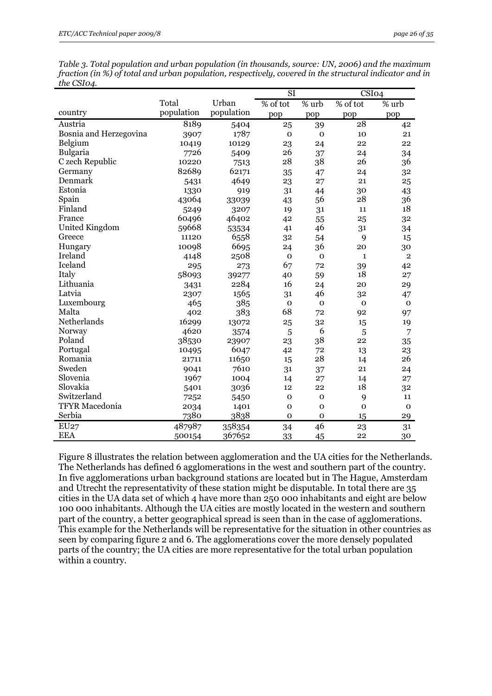*Table 3. Total population and urban population (in thousands, source: UN, 2006) and the maximum fraction (in %) of total and urban population, respectively, covered in the structural indicator and in the CSI04.* 

|                        |            |            | SI           |              | CSI <sub>04</sub> |                |
|------------------------|------------|------------|--------------|--------------|-------------------|----------------|
|                        | Total      | Urban      | % of tot     | % urb        | % of tot          | % urb          |
| country                | population | population | pop          | pop          | pop               | pop            |
| Austria                | 8189       | 5404       | 25           | 39           | 28                | 42             |
| Bosnia and Herzegovina | 3907       | 1787       | $\mathbf 0$  | $\mathbf 0$  | 10                | 21             |
| Belgium                | 10419      | 10129      | 23           | 24           | 22                | 22             |
| Bulgaria               | 7726       | 5409       | 26           | 37           | 24                | 34             |
| C zech Republic        | 10220      | 7513       | 28           | 38           | 26                | 36             |
| Germany                | 82689      | 62171      | 35           | 47           | 24                | 32             |
| Denmark                | 5431       | 4649       | 23           | 27           | 21                | 25             |
| Estonia                | 1330       | 919        | 31           | 44           | 30                | 43             |
| Spain                  | 43064      | 33039      | 43           | 56           | 28                | 36             |
| Finland                | 5249       | 3207       | 19           | 31           | 11                | 18             |
| France                 | 60496      | 46402      | 42           | 55           | 25                | 32             |
| <b>United Kingdom</b>  | 59668      | 53534      | 41           | 46           | 31                | 34             |
| Greece                 | 11120      | 6558       | 32           | 54           | 9                 | 15             |
| Hungary                | 10098      | 6695       | 24           | 36           | 20                | 30             |
| Ireland                | 4148       | 2508       | $\mathbf 0$  | $\mathbf{O}$ | $\mathbf{1}$      | $\overline{2}$ |
| Iceland                | 295        | 273        | 67           | 72           | 39                | 42             |
| Italy                  | 58093      | 39277      | 40           | 59           | 18                | 27             |
| Lithuania              | 3431       | 2284       | 16           | 24           | 20                | 29             |
| Latvia                 | 2307       | 1565       | 31           | 46           | 32                | 47             |
| Luxembourg             | 465        | 385        | $\mathbf 0$  | $\mathbf 0$  | $\mathbf 0$       | $\mathbf 0$    |
| Malta                  | 402        | 383        | 68           | 72           | 92                | 97             |
| Netherlands            | 16299      | 13072      | 25           | 32           | 15                | 19             |
| Norway                 | 4620       | 3574       | 5            | 6            | 5                 | $\overline{7}$ |
| Poland                 | 38530      | 23907      | 23           | 38           | 22                | 35             |
| Portugal               | 10495      | 6047       | 42           | 72           | 13                | 23             |
| Romania                | 21711      | 11650      | 15           | 28           | 14                | 26             |
| Sweden                 | 9041       | 7610       | 31           | 37           | 21                | 24             |
| Slovenia               | 1967       | 1004       | 14           | 27           | 14                | 27             |
| Slovakia               | 5401       | 3036       | 12           | 22           | 18                | 32             |
| Switzerland            | 7252       | 5450       | $\mathbf{o}$ | $\mathbf{O}$ | 9                 | 11             |
| <b>TFYR</b> Macedonia  | 2034       | 1401       | $\mathbf{o}$ | $\mathbf 0$  | $\mathbf 0$       | $\mathbf 0$    |
| Serbia                 | 7380       | 3838       | 0            | $\mathbf 0$  | 15                | 29             |
| EU27                   | 487987     | 358354     | 34           | 46           | 23                | 31             |
| <b>EEA</b>             | 500154     | 367652     | 33           | 45           | 22                | 30             |

Figure 8 illustrates the relation between agglomeration and the UA cities for the Netherlands. The Netherlands has defined 6 agglomerations in the west and southern part of the country. In five agglomerations urban background stations are located but in The Hague, Amsterdam and Utrecht the representativity of these station might be disputable. In total there are 35 cities in the UA data set of which 4 have more than 250 000 inhabitants and eight are below 100 000 inhabitants. Although the UA cities are mostly located in the western and southern part of the country, a better geographical spread is seen than in the case of agglomerations. This example for the Netherlands will be representative for the situation in other countries as seen by comparing figure 2 and 6. The agglomerations cover the more densely populated parts of the country; the UA cities are more representative for the total urban population within a country.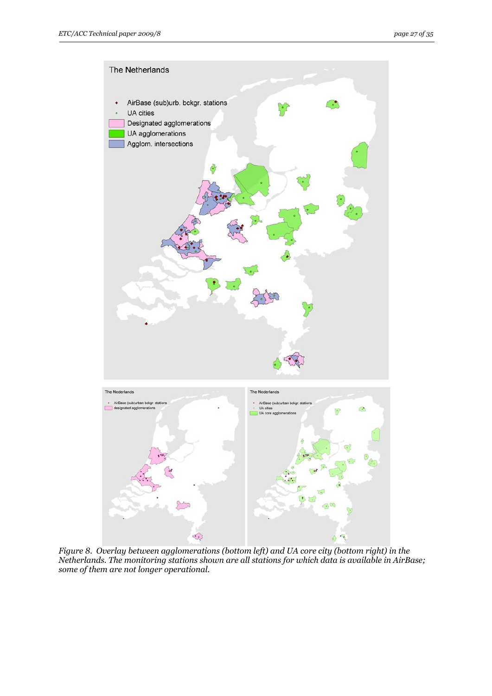

*Figure 8. Overlay between agglomerations (bottom left) and UA core city (bottom right) in the Netherlands. The monitoring stations shown are all stations for which data is available in AirBase; some of them are not longer operational.*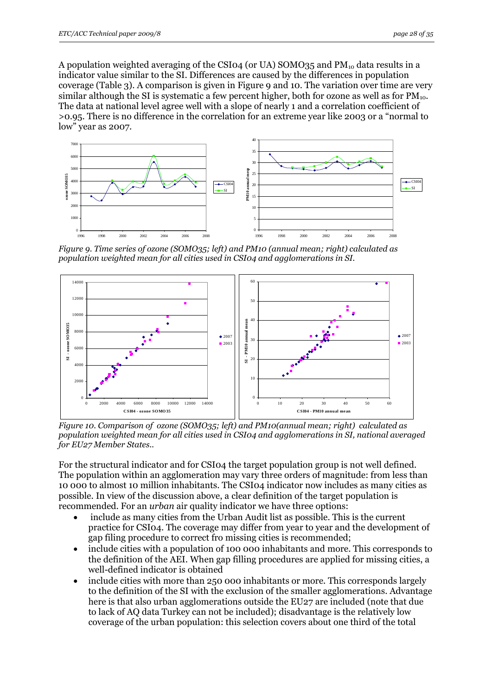A population weighted averaging of the CSI04 (or UA) SOMO35 and  $PM_{10}$  data results in a indicator value similar to the SI. Differences are caused by the differences in population coverage (Table 3). A comparison is given in Figure 9 and 10. The variation over time are very similar although the SI is systematic a few percent higher, both for ozone as well as for  $PM_{10}$ . The data at national level agree well with a slope of nearly 1 and a correlation coefficient of >0.95. There is no difference in the correlation for an extreme year like 2003 or a "normal to low" year as 2007.



*Figure 9. Time series of ozone (SOMO35; left) and PM10 (annual mean; right) calculated as population weighted mean for all cities used in CSI04 and agglomerations in SI.*



*Figure 10. Comparison of ozone (SOMO35; left) and PM10(annual mean; right) calculated as population weighted mean for all cities used in CSI04 and agglomerations in SI, national averaged for EU27 Member States..* 

For the structural indicator and for CSI04 the target population group is not well defined. The population within an agglomeration may vary three orders of magnitude: from less than 10 000 to almost 10 million inhabitants. The CSI04 indicator now includes as many cities as possible. In view of the discussion above, a clear definition of the target population is recommended. For an *urban* air quality indicator we have three options:

- include as many cities from the Urban Audit list as possible. This is the current practice for CSI04. The coverage may differ from year to year and the development of gap filing procedure to correct fro missing cities is recommended;
- include cities with a population of 100 000 inhabitants and more. This corresponds to the definition of the AEI. When gap filling procedures are applied for missing cities, a well-defined indicator is obtained
- include cities with more than 250 000 inhabitants or more. This corresponds largely to the definition of the SI with the exclusion of the smaller agglomerations. Advantage here is that also urban agglomerations outside the EU27 are included (note that due to lack of AQ data Turkey can not be included); disadvantage is the relatively low coverage of the urban population: this selection covers about one third of the total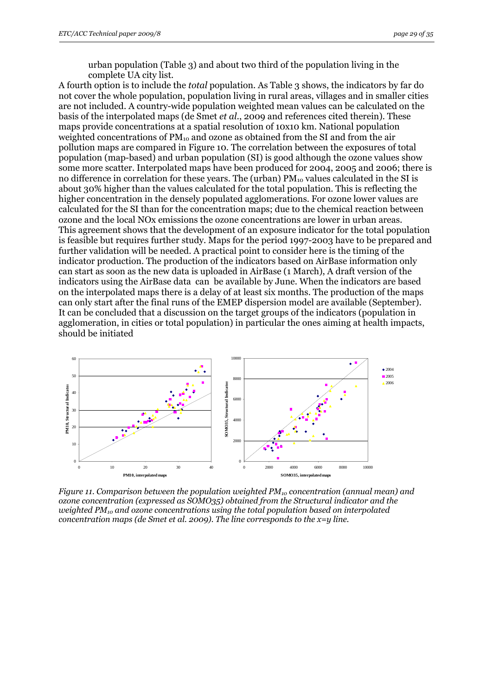urban population (Table 3) and about two third of the population living in the complete UA city list.

A fourth option is to include the *total* population. As Table 3 shows, the indicators by far do not cover the whole population, population living in rural areas, villages and in smaller cities are not included. A country-wide population weighted mean values can be calculated on the basis of the interpolated maps (de Smet *et al.*, 2009 and references cited therein). These maps provide concentrations at a spatial resolution of 10x10 km. National population weighted concentrations of  $PM_{10}$  and ozone as obtained from the SI and from the air pollution maps are compared in Figure 10. The correlation between the exposures of total population (map-based) and urban population (SI) is good although the ozone values show some more scatter. Interpolated maps have been produced for 2004, 2005 and 2006; there is no difference in correlation for these years. The (urban)  $PM_{10}$  values calculated in the SI is about 30% higher than the values calculated for the total population. This is reflecting the higher concentration in the densely populated agglomerations. For ozone lower values are calculated for the SI than for the concentration maps; due to the chemical reaction between ozone and the local NOx emissions the ozone concentrations are lower in urban areas. This agreement shows that the development of an exposure indicator for the total population is feasible but requires further study. Maps for the period 1997-2003 have to be prepared and further validation will be needed. A practical point to consider here is the timing of the indicator production. The production of the indicators based on AirBase information only can start as soon as the new data is uploaded in AirBase (1 March), A draft version of the indicators using the AirBase data can be available by June. When the indicators are based on the interpolated maps there is a delay of at least six months. The production of the maps can only start after the final runs of the EMEP dispersion model are available (September). It can be concluded that a discussion on the target groups of the indicators (population in agglomeration, in cities or total population) in particular the ones aiming at health impacts, should be initiated



*Figure 11. Comparison between the population weighted PM<sub>10</sub> concentration (annual mean) and ozone concentration (expressed as SOMO35) obtained from the Structural indicator and the weighted PM10 and ozone concentrations using the total population based on interpolated concentration maps (de Smet et al. 2009). The line corresponds to the x=y line.*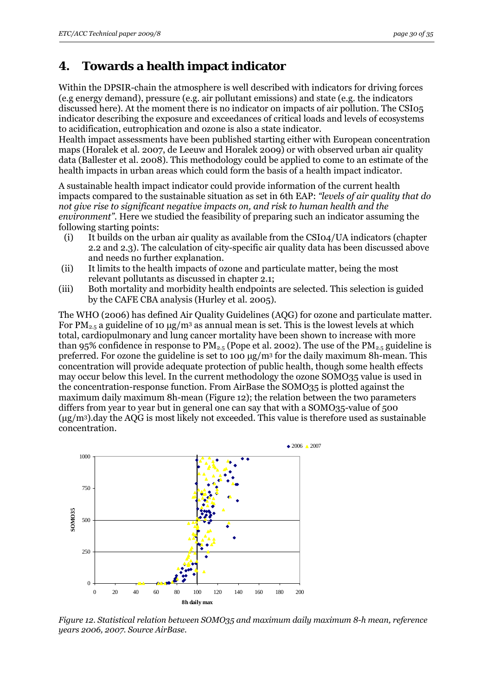# <span id="page-29-0"></span>**4. Towards a health impact indicator**

Within the DPSIR-chain the atmosphere is well described with indicators for driving forces (e.g energy demand), pressure (e.g. air pollutant emissions) and state (e.g. the indicators discussed here). At the moment there is no indicator on impacts of air pollution. The CSI05 indicator describing the exposure and exceedances of critical loads and levels of ecosystems to acidification, eutrophication and ozone is also a state indicator.

Health impact assessments have been published starting either with European concentration maps (Horalek et al. 2007, de Leeuw and Horalek 2009) or with observed urban air quality data (Ballester et al. 2008). This methodology could be applied to come to an estimate of the health impacts in urban areas which could form the basis of a health impact indicator.

A sustainable health impact indicator could provide information of the current health impacts compared to the sustainable situation as set in 6th EAP: *"levels of air quality that do not give rise to significant negative impacts on, and risk to human health and the environment".* Here we studied the feasibility of preparing such an indicator assuming the following starting points:

- (i) It builds on the urban air quality as available from the CSI04/UA indicators (chapter 2.2 and 2.3). The calculation of city-specific air quality data has been discussed above and needs no further explanation.
- (ii) It limits to the health impacts of ozone and particulate matter, being the most relevant pollutants as discussed in chapter 2.1;
- (iii) Both mortality and morbidity health endpoints are selected. This selection is guided by the CAFE CBA analysis (Hurley et al. 2005).

The WHO (2006) has defined Air Quality Guidelines (AQG) for ozone and particulate matter. For  $PM_{2.5}$  a guideline of 10  $\mu$ g/m<sup>3</sup> as annual mean is set. This is the lowest levels at which total, cardiopulmonary and lung cancer mortality have been shown to increase with more than 95% confidence in response to  $PM_{2.5}$  (Pope et al. 2002). The use of the  $PM_{2.5}$  guideline is preferred. For ozone the guideline is set to 100 μg/m3 for the daily maximum 8h-mean. This concentration will provide adequate protection of public health, though some health effects may occur below this level. In the current methodology the ozone SOMO35 value is used in the concentration-response function. From AirBase the SOMO35 is plotted against the maximum daily maximum 8h-mean (Figure 12); the relation between the two parameters differs from year to year but in general one can say that with a SOMO35-value of 500  $(\mu$ g/m<sup>3</sup>).day the AQG is most likely not exceeded. This value is therefore used as sustainable concentration.



*Figure 12. Statistical relation between SOMO35 and maximum daily maximum 8-h mean, reference years 2006, 2007. Source AirBase.*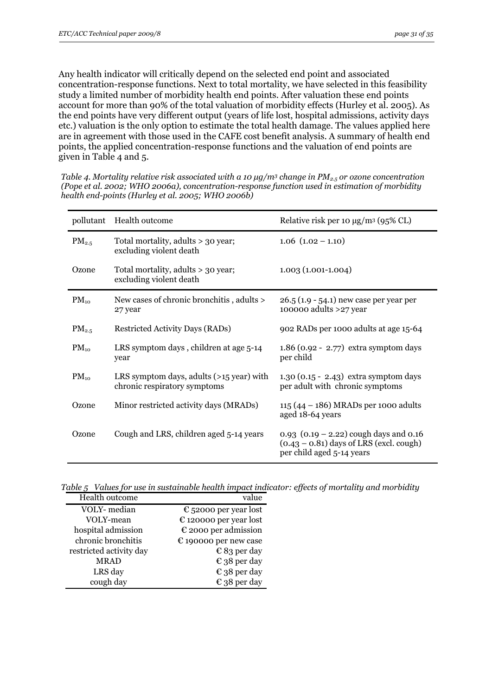Any health indicator will critically depend on the selected end point and associated concentration-response functions. Next to total mortality, we have selected in this feasibility study a limited number of morbidity health end points. After valuation these end points account for more than 90% of the total valuation of morbidity effects (Hurley et al. 2005). As the end points have very different output (years of life lost, hospital admissions, activity days etc.) valuation is the only option to estimate the total health damage. The values applied here are in agreement with those used in the CAFE cost benefit analysis. A summary of health end points, the applied concentration-response functions and the valuation of end points are given in Table 4 and 5.

*Table 4. Mortality relative risk associated with a 10 μg/m<sup>3</sup> change in PM<sub>2.5</sub> or ozone concentration (Pope et al. 2002; WHO 2006a), concentration-response function used in estimation of morbidity health end-points (Hurley et al. 2005; WHO 2006b)* 

| pollutant  | Health outcome                                                           | Relative risk per 10 $\mu$ g/m <sup>3</sup> (95% CL)                                                               |
|------------|--------------------------------------------------------------------------|--------------------------------------------------------------------------------------------------------------------|
| $PM_{2.5}$ | Total mortality, adults > 30 year;<br>excluding violent death            | $1.06$ $(1.02 - 1.10)$                                                                                             |
| Ozone      | Total mortality, adults > 30 year;<br>excluding violent death            | $1.003(1.001-1.004)$                                                                                               |
| $PM_{10}$  | New cases of chronic bronchitis, adults ><br>27 year                     | 26.5 (1.9 - 54.1) new case per year per<br>100000 adults $>27$ year                                                |
| $PM_{2.5}$ | Restricted Activity Days (RADs)                                          | 902 RADs per 1000 adults at age 15-64                                                                              |
| $PM_{10}$  | LRS symptom days, children at age 5-14<br>year                           | $1.86$ (0.92 - 2.77) extra symptom days<br>per child                                                               |
| $PM_{10}$  | LRS symptom days, adults (>15 year) with<br>chronic respiratory symptoms | $1.30(0.15 - 2.43)$ extra symptom days<br>per adult with chronic symptoms                                          |
| Ozone      | Minor restricted activity days (MRADs)                                   | 115 (44 - 186) MRADs per 1000 adults<br>aged 18-64 years                                                           |
| Ozone      | Cough and LRS, children aged 5-14 years                                  | 0.93 $(0.19 - 2.22)$ cough days and 0.16<br>$(0.43 - 0.81)$ days of LRS (excl. cough)<br>per child aged 5-14 years |

*Table 5 Values for use in sustainable health impact indicator: effects of mortality and morbidity* 

| Health outcome          | value                           |
|-------------------------|---------------------------------|
| VOLY- median            | $\epsilon$ 52000 per year lost  |
| VOLY-mean               | $\epsilon$ 120000 per year lost |
| hospital admission      | $\epsilon$ 2000 per admission   |
| chronic bronchitis      | $\epsilon$ 190000 per new case  |
| restricted activity day | $\epsilon$ 83 per day           |
| <b>MRAD</b>             | $\epsilon$ 38 per day           |
| LRS day                 | $\epsilon$ 38 per day           |
| cough day               | $\epsilon$ 38 per day           |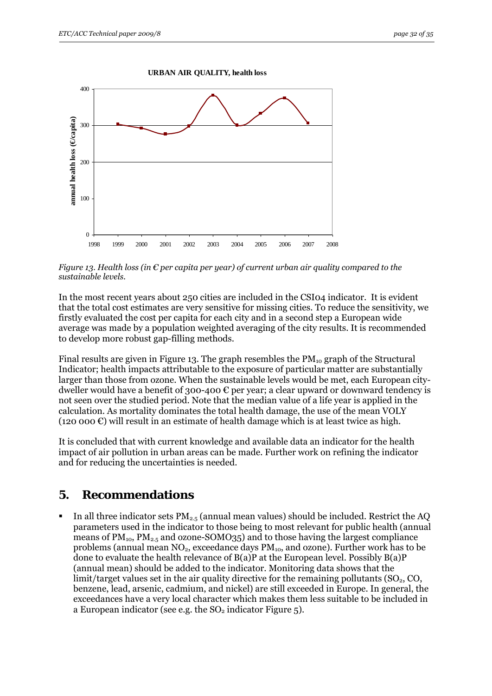

<span id="page-31-0"></span>

 *Figure 13. Health loss (in € per capita per year) of current urban air quality compared to the sustainable levels.* 

In the most recent years about 250 cities are included in the CSI04 indicator. It is evident that the total cost estimates are very sensitive for missing cities. To reduce the sensitivity, we firstly evaluated the cost per capita for each city and in a second step a European wide average was made by a population weighted averaging of the city results. It is recommended to develop more robust gap-filling methods.

Final results are given in Figure 13. The graph resembles the  $PM_{10}$  graph of the Structural Indicator; health impacts attributable to the exposure of particular matter are substantially larger than those from ozone. When the sustainable levels would be met, each European citydweller would have a benefit of 300-400  $\epsilon$  per year; a clear upward or downward tendency is not seen over the studied period. Note that the median value of a life year is applied in the calculation. As mortality dominates the total health damage, the use of the mean VOLY (120 000  $\varepsilon$ ) will result in an estimate of health damage which is at least twice as high.

It is concluded that with current knowledge and available data an indicator for the health impact of air pollution in urban areas can be made. Further work on refining the indicator and for reducing the uncertainties is needed.

# **5. Recommendations**

In all three indicator sets  $PM_{2.5}$  (annual mean values) should be included. Restrict the AQ parameters used in the indicator to those being to most relevant for public health (annual means of  $PM_{10}$ ,  $PM_{2.5}$  and ozone-SOMO35) and to those having the largest compliance problems (annual mean NO<sub>2</sub>, exceedance days PM<sub>10</sub>, and ozone). Further work has to be done to evaluate the health relevance of B(a)P at the European level. Possibly B(a)P (annual mean) should be added to the indicator. Monitoring data shows that the limit/target values set in the air quality directive for the remaining pollutants  $(SO_2, CO,$ benzene, lead, arsenic, cadmium, and nickel) are still exceeded in Europe. In general, the exceedances have a very local character which makes them less suitable to be included in a European indicator (see e.g. the  $SO<sub>2</sub>$  indicator Figure 5).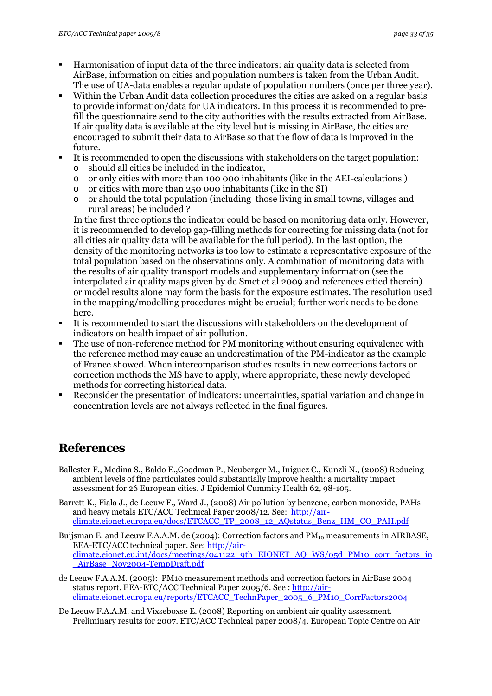- <span id="page-32-0"></span> Harmonisation of input data of the three indicators: air quality data is selected from AirBase, information on cities and population numbers is taken from the Urban Audit. The use of UA-data enables a regular update of population numbers (once per three year).
- Within the Urban Audit data collection procedures the cities are asked on a regular basis to provide information/data for UA indicators. In this process it is recommended to prefill the questionnaire send to the city authorities with the results extracted from AirBase. If air quality data is available at the city level but is missing in AirBase, the cities are encouraged to submit their data to AirBase so that the flow of data is improved in the future.
- It is recommended to open the discussions with stakeholders on the target population: o should all cities be included in the indicator,
	- o or only cities with more than 100 000 inhabitants (like in the AEI-calculations )
	- o or cities with more than 250 000 inhabitants (like in the SI)
	- o or should the total population (including those living in small towns, villages and rural areas) be included ?

In the first three options the indicator could be based on monitoring data only. However, it is recommended to develop gap-filling methods for correcting for missing data (not for all cities air quality data will be available for the full period). In the last option, the density of the monitoring networks is too low to estimate a representative exposure of the total population based on the observations only. A combination of monitoring data with the results of air quality transport models and supplementary information (see the interpolated air quality maps given by de Smet et al 2009 and references citied therein) or model results alone may form the basis for the exposure estimates. The resolution used in the mapping/modelling procedures might be crucial; further work needs to be done here.

- It is recommended to start the discussions with stakeholders on the development of indicators on health impact of air pollution.
- The use of non-reference method for PM monitoring without ensuring equivalence with the reference method may cause an underestimation of the PM-indicator as the example of France showed. When intercomparison studies results in new corrections factors or correction methods the MS have to apply, where appropriate, these newly developed methods for correcting historical data.
- Reconsider the presentation of indicators: uncertainties, spatial variation and change in concentration levels are not always reflected in the final figures.

# **References**

- Ballester F., Medina S., Baldo E.,Goodman P., Neuberger M., Iniguez C., Kunzli N., (2008) Reducing ambient levels of fine particulates could substantially improve health: a mortality impact assessment for 26 European cities. J Epidemiol Cummity Health 62, 98-105.
- Barrett K., Fiala J., de Leeuw F., Ward J., (2008) Air pollution by benzene, carbon monoxide, PAHs and heavy metals ETC/ACC Technical Paper 2008/12. See: [http://air](http://air-climate.eionet.europa.eu/docs/ETCACC_TP_2008_12_AQstatus_Benz_HM_CO_PAH.pdf)climate.eionet.europa.eu/docs/ETCACC\_TP\_2008\_12\_AQstatus\_Benz\_HM\_CO\_PAH.pdf
- Buijsman E. and Leeuw F.A.A.M. de (2004): Correction factors and  $PM_{10}$  measurements in AIRBASE, EEA-ETC/ACC technical paper. See: [http://air](http://air-climate.eionet.eu.int/docs/meetings/041122_9th_EIONET_AQ_WS/05d_PM10_corr_factors_in_AirBase_Nov2004-TempDraft.pdf)[climate.eionet.eu.int/docs/meetings/041122\\_9th\\_EIONET\\_AQ\\_WS/05d\\_PM10\\_corr\\_factors\\_in](http://air-climate.eionet.eu.int/docs/meetings/041122_9th_EIONET_AQ_WS/05d_PM10_corr_factors_in_AirBase_Nov2004-TempDraft.pdf) AirBase\_Nov2004-TempDraft.pdf
- de Leeuw F.A.A.M. (2005): PM10 measurement methods and correction factors in AirBase 2004 status report. EEA-ETC/ACC Technical Paper 2005/6. See : [http://air](http://air-climate.eionet.europa.eu/reports/ETCACC_TechnPaper_2005_6_PM10_CorrFactors2004)[climate.eionet.europa.eu/reports/ETCACC\\_TechnPaper\\_2005\\_6\\_PM10\\_CorrFactors2004](http://air-climate.eionet.europa.eu/reports/ETCACC_TechnPaper_2005_6_PM10_CorrFactors2004)
- De Leeuw F.A.A.M. and Vixseboxse E. (2008) Reporting on ambient air quality assessment. Preliminary results for 2007. ETC/ACC Technical paper 2008/4. European Topic Centre on Air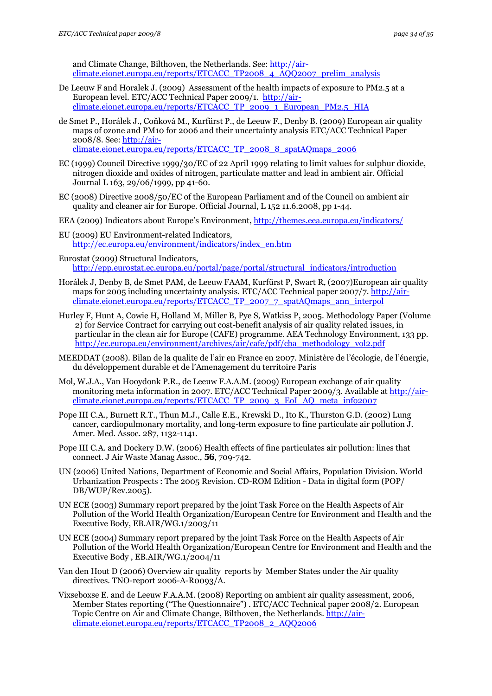and Climate Change, Bilthoven, the Netherlands. See: [http://air](http://air-climate.eionet.europa.eu/reports/ETCACC_TP2008_4_AQQ2007_prelim_analysis)[climate.eionet.europa.eu/reports/ETCACC\\_TP2008\\_4\\_AQQ2007\\_prelim\\_analysis](http://air-climate.eionet.europa.eu/reports/ETCACC_TP2008_4_AQQ2007_prelim_analysis)

- De Leeuw F and Horalek J. (2009) Assessment of the health impacts of exposure to PM2.5 at a European level. ETC/ACC Technical Paper 2009/1. [http://air](http://air-climate.eionet.europa.eu/reports/ETCACC_TP_2009_1_European_PM2.5_HIA)[climate.eionet.europa.eu/reports/ETCACC\\_TP\\_2009\\_1\\_European\\_PM2.5\\_HIA](http://air-climate.eionet.europa.eu/reports/ETCACC_TP_2009_1_European_PM2.5_HIA)
- de Smet P., Horálek J., Coňková M., Kurfürst P., de Leeuw F., Denby B. (2009) European air quality maps of ozone and PM10 for 2006 and their uncertainty analysis ETC/ACC Technical Paper 2008/8. See: [http://air](http://air-climate.eionet.europa.eu/reports/ETCACC_TP_2008_8_spatAQmaps_2006)[climate.eionet.europa.eu/reports/ETCACC\\_TP\\_2008\\_8\\_spatAQmaps\\_2006](http://air-climate.eionet.europa.eu/reports/ETCACC_TP_2008_8_spatAQmaps_2006)
- EC (1999) Council Directive 1999/30/EC of 22 April 1999 relating to limit values for sulphur dioxide, nitrogen dioxide and oxides of nitrogen, particulate matter and lead in ambient air. Official Journal L 163, 29/06/1999, pp 41-60.
- EC (2008) Directive 2008/50/EC of the European Parliament and of the Council on ambient air quality and cleaner air for Europe. Official Journal, L 152 11.6.2008, pp 1-44.
- EEA (2009) Indicators about Europe's Environment,<http://themes.eea.europa.eu/indicators/>
- EU (2009) EU Environment-related Indicators, [http://ec.europa.eu/environment/indicators/index\\_en.htm](http://ec.europa.eu/environment/indicators/index_en.htm)
- Eurostat (2009) Structural Indicators, [http://epp.eurostat.ec.europa.eu/portal/page/portal/structural\\_indicators/introduction](http://epp.eurostat.ec.europa.eu/portal/page/portal/structural_indicators/introduction)
- Horálek J, Denby B, de Smet PAM, de Leeuw FAAM, Kurfürst P, Swart R, (2007)European air quality maps for 2005 including uncertainty analysis. ETC/ACC Technical paper 2007/7. [http://air](http://air-climate.eionet.europa.eu/reports/ETCACC_TP_2007_7_spatAQmaps_ann_interpol)[climate.eionet.europa.eu/reports/ETCACC\\_TP\\_2007\\_7\\_spatAQmaps\\_ann\\_interpol](http://air-climate.eionet.europa.eu/reports/ETCACC_TP_2007_7_spatAQmaps_ann_interpol)
- Hurley F, Hunt A, Cowie H, Holland M, Miller B, Pye S, Watkiss P, 2005. Methodology Paper (Volume 2) for Service Contract for carrying out cost-benefit analysis of air quality related issues, in particular in the clean air for Europe (CAFE) programme. AEA Technology Environment, 133 pp. [http://ec.europa.eu/environment/archives/air/cafe/pdf/cba\\_methodology\\_vol2.pdf](http://ec.europa.eu/environment/archives/air/cafe/pdf/cba_methodology_vol2.pdf)
- MEEDDAT (2008). Bilan de la qualite de l'air en France en 2007. Ministère de l'écologie, de l'énergie, du développement durable et de l'Amenagement du territoire Paris
- Mol, W.J.A., Van Hooydonk P.R., de Leeuw F.A.A.M. (2009) European exchange of air quality monitoring meta information in 2007. ETC/ACC Technical Paper 2009/3. Available at [http://air](http://air-climate.eionet.europa.eu/reports/ETCACC_TP_2009_3_EoI_AQ_meta_info2007)climate.eionet.europa.eu/reports/ETCACC\_TP\_2009\_3\_EoI\_AQ\_meta\_info2007
- Pope III C.A., Burnett R.T., Thun M.J., Calle E.E., Krewski D., Ito K., Thurston G.D. (2002) Lung cancer, cardiopulmonary mortality, and long-term exposure to fine particulate air pollution J. Amer. Med. Assoc. 287, 1132-1141.
- Pope III C.A. and Dockery D.W. (2006) Health effects of fine particulates air pollution: lines that connect. J Air Waste Manag Assoc., **56**, 709-742.
- UN (2006) United Nations, Department of Economic and Social Affairs, Population Division. World Urbanization Prospects : The 2005 Revision. CD-ROM Edition - Data in digital form (POP/ DB/WUP/Rev.2005).
- UN ECE (2003) Summary report prepared by the joint Task Force on the Health Aspects of Air Pollution of the World Health Organization/European Centre for Environment and Health and the Executive Body, EB.AIR/WG.1/2003/11
- UN ECE (2004) Summary report prepared by the joint Task Force on the Health Aspects of Air Pollution of the World Health Organization/European Centre for Environment and Health and the Executive Body , EB.AIR/WG.1/2004/11
- Van den Hout D (2006) Overview air quality reports by Member States under the Air quality directives. TNO-report 2006-A-R0093/A.
- Vixseboxse E. and de Leeuw F.A.A.M. (2008) Reporting on ambient air quality assessment, 2006, Member States reporting ("The Questionnaire") . ETC/ACC Technical paper 2008/2. European Topic Centre on Air and Climate Change, Bilthoven, the Netherlands. [http://air](http://air-climate.eionet.europa.eu/reports/ETCACC_TP2008_2_AQQ2006)[climate.eionet.europa.eu/reports/ETCACC\\_TP2008\\_2\\_AQQ2006](http://air-climate.eionet.europa.eu/reports/ETCACC_TP2008_2_AQQ2006)